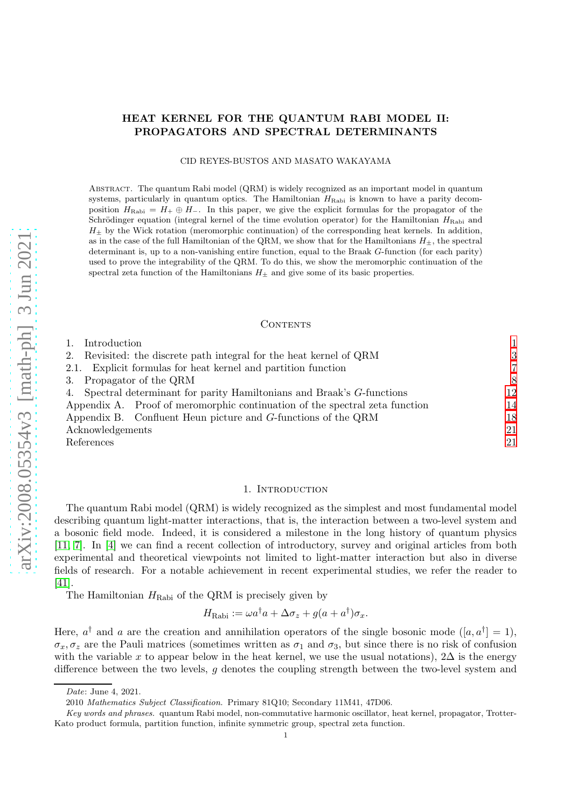# HEAT KERNEL FOR THE QUANTUM RABI MODEL II: PROPAGATORS AND SPECTRAL DETERMINANTS

CID REYES-BUSTOS AND MASATO WAKAYAMA

Abstract. The quantum Rabi model (QRM) is widely recognized as an important model in quantum systems, particularly in quantum optics. The Hamiltonian  $H_{\text{Rabi}}$  is known to have a parity decomposition  $H_{\text{Rabi}} = H_+ \oplus H_-$ . In this paper, we give the explicit formulas for the propagator of the Schrödinger equation (integral kernel of the time evolution operator) for the Hamiltonian  $H_{\text{Rabi}}$  and  $H_{\pm}$  by the Wick rotation (meromorphic continuation) of the corresponding heat kernels. In addition, as in the case of the full Hamiltonian of the QRM, we show that for the Hamiltonians  $H_{\pm}$ , the spectral determinant is, up to a non-vanishing entire function, equal to the Braak G-function (for each parity) used to prove the integrability of the QRM. To do this, we show the meromorphic continuation of the spectral zeta function of the Hamiltonians  $H_{\pm}$  and give some of its basic properties.

#### CONTENTS

| Introduction                                                                |                |
|-----------------------------------------------------------------------------|----------------|
| 2. Revisited: the discrete path integral for the heat kernel of QRM         | 3              |
| 2.1. Explicit formulas for heat kernel and partition function               | $\overline{7}$ |
| 3. Propagator of the QRM                                                    | 8              |
| 4. Spectral determinant for parity Hamiltonians and Braak's G-functions     | 12             |
| Appendix A. Proof of meromorphic continuation of the spectral zeta function | 14             |
| Appendix B. Confluent Heun picture and G-functions of the QRM               | 18             |
| Acknowledgements                                                            | 21             |
| References                                                                  | 21             |

#### 1. INTRODUCTION

<span id="page-0-0"></span>The quantum Rabi model (QRM) is widely recognized as the simplest and most fundamental model describing quantum light-matter interactions, that is, the interaction between a two-level system and a bosonic field mode. Indeed, it is considered a milestone in the long history of quantum physics [\[11,](#page-20-2) [7\]](#page-20-3). In [\[4\]](#page-20-4) we can find a recent collection of introductory, survey and original articles from both experimental and theoretical viewpoints not limited to light-matter interaction but also in diverse fields of research. For a notable achievement in recent experimental studies, we refer the reader to [\[41\]](#page-21-0).

The Hamiltonian  $H_{\text{Rabi}}$  of the QRM is precisely given by

$$
H_{\text{Rabi}} := \omega a^{\dagger} a + \Delta \sigma_z + g(a + a^{\dagger}) \sigma_x.
$$

Here,  $a^{\dagger}$  and a are the creation and annihilation operators of the single bosonic mode  $([a, a^{\dagger}] = 1)$ ,  $\sigma_x, \sigma_z$  are the Pauli matrices (sometimes written as  $\sigma_1$  and  $\sigma_3$ , but since there is no risk of confusion with the variable x to appear below in the heat kernel, we use the usual notations),  $2\Delta$  is the energy difference between the two levels, g denotes the coupling strength between the two-level system and

Date: June 4, 2021.

<sup>2010</sup> Mathematics Subject Classification. Primary 81Q10; Secondary 11M41, 47D06.

Key words and phrases. quantum Rabi model, non-commutative harmonic oscillator, heat kernel, propagator, Trotter-Kato product formula, partition function, infinite symmetric group, spectral zeta function.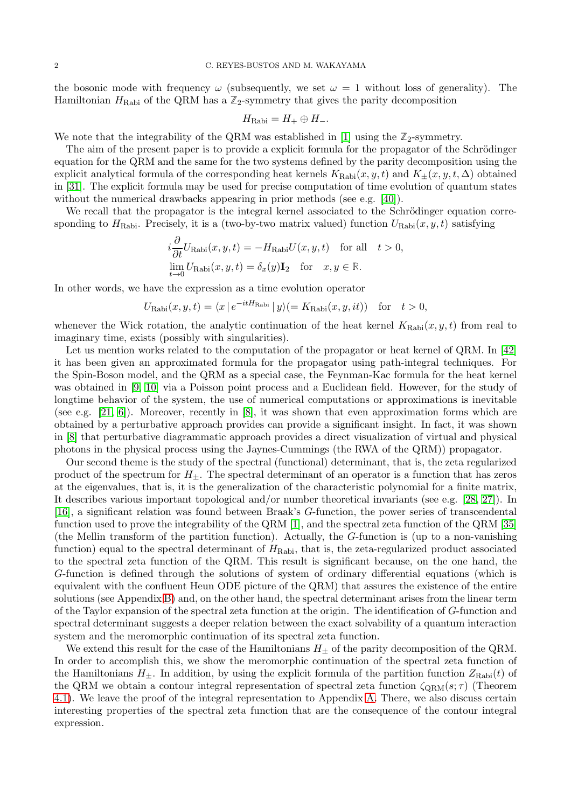the bosonic mode with frequency  $\omega$  (subsequently, we set  $\omega = 1$  without loss of generality). The Hamiltonian  $H_{\text{Rabi}}$  of the QRM has a  $\mathbb{Z}_2$ -symmetry that gives the parity decomposition

$$
H_{\text{Rabi}} = H_+ \oplus H_-.
$$

We note that the integrability of the QRM was established in [\[1\]](#page-20-5) using the  $\mathbb{Z}_2$ -symmetry.

The aim of the present paper is to provide a explicit formula for the propagator of the Schrödinger equation for the QRM and the same for the two systems defined by the parity decomposition using the explicit analytical formula of the corresponding heat kernels  $K_{\text{Rabi}}(x, y, t)$  and  $K_{\pm}(x, y, t, \Delta)$  obtained in [\[31\]](#page-21-1). The explicit formula may be used for precise computation of time evolution of quantum states without the numerical drawbacks appearing in prior methods (see e.g. [\[40\]](#page-21-2)).

We recall that the propagator is the integral kernel associated to the Schrödinger equation corresponding to  $H_{\text{Rabi}}$ . Precisely, it is a (two-by-two matrix valued) function  $U_{\text{Rabi}}(x, y, t)$  satisfying

$$
i\frac{\partial}{\partial t}U_{\text{Rabi}}(x, y, t) = -H_{\text{Rabi}}U(x, y, t) \quad \text{for all} \quad t > 0,
$$
  

$$
\lim_{t \to 0} U_{\text{Rabi}}(x, y, t) = \delta_x(y)\mathbf{I}_2 \quad \text{for} \quad x, y \in \mathbb{R}.
$$

In other words, we have the expression as a time evolution operator

$$
U_{\text{Rabi}}(x, y, t) = \langle x \, | \, e^{-itH_{\text{Rabi}}} \, | \, y \rangle (= K_{\text{Rabi}}(x, y, it)) \quad \text{for} \quad t > 0,
$$

whenever the Wick rotation, the analytic continuation of the heat kernel  $K_{\text{Rabi}}(x, y, t)$  from real to imaginary time, exists (possibly with singularities).

Let us mention works related to the computation of the propagator or heat kernel of QRM. In [\[42\]](#page-21-3) it has been given an approximated formula for the propagator using path-integral techniques. For the Spin-Boson model, and the QRM as a special case, the Feynman-Kac formula for the heat kernel was obtained in [\[9,](#page-20-6) [10\]](#page-20-7) via a Poisson point process and a Euclidean field. However, for the study of longtime behavior of the system, the use of numerical computations or approximations is inevitable (see e.g. [\[21,](#page-20-8) [6\]](#page-20-9)). Moreover, recently in [\[8\]](#page-20-10), it was shown that even approximation forms which are obtained by a perturbative approach provides can provide a significant insight. In fact, it was shown in [\[8\]](#page-20-10) that perturbative diagrammatic approach provides a direct visualization of virtual and physical photons in the physical process using the Jaynes-Cummings (the RWA of the QRM)) propagator.

Our second theme is the study of the spectral (functional) determinant, that is, the zeta regularized product of the spectrum for  $H_{\pm}$ . The spectral determinant of an operator is a function that has zeros at the eigenvalues, that is, it is the generalization of the characteristic polynomial for a finite matrix, It describes various important topological and/or number theoretical invariants (see e.g. [\[28,](#page-21-4) [27\]](#page-21-5)). In [\[16\]](#page-20-11), a significant relation was found between Braak's G-function, the power series of transcendental function used to prove the integrability of the QRM [\[1\]](#page-20-5), and the spectral zeta function of the QRM [\[35\]](#page-21-6) (the Mellin transform of the partition function). Actually, the G-function is (up to a non-vanishing function) equal to the spectral determinant of  $H_{\text{Rabi}}$ , that is, the zeta-regularized product associated to the spectral zeta function of the QRM. This result is significant because, on the one hand, the G-function is defined through the solutions of system of ordinary differential equations (which is equivalent with the confluent Heun ODE picture of the QRM) that assures the existence of the entire solutions (see Appendix [B\)](#page-17-0) and, on the other hand, the spectral determinant arises from the linear term of the Taylor expansion of the spectral zeta function at the origin. The identification of G-function and spectral determinant suggests a deeper relation between the exact solvability of a quantum interaction system and the meromorphic continuation of its spectral zeta function.

We extend this result for the case of the Hamiltonians  $H_{\pm}$  of the parity decomposition of the QRM. In order to accomplish this, we show the meromorphic continuation of the spectral zeta function of the Hamiltonians  $H_{\pm}$ . In addition, by using the explicit formula of the partition function  $Z_{\text{Rabi}}(t)$  of the QRM we obtain a contour integral representation of spectral zeta function  $\zeta_{\rm QRM}(s;\tau)$  (Theorem [4.1\)](#page-12-0). We leave the proof of the integral representation to Appendix [A.](#page-13-0) There, we also discuss certain interesting properties of the spectral zeta function that are the consequence of the contour integral expression.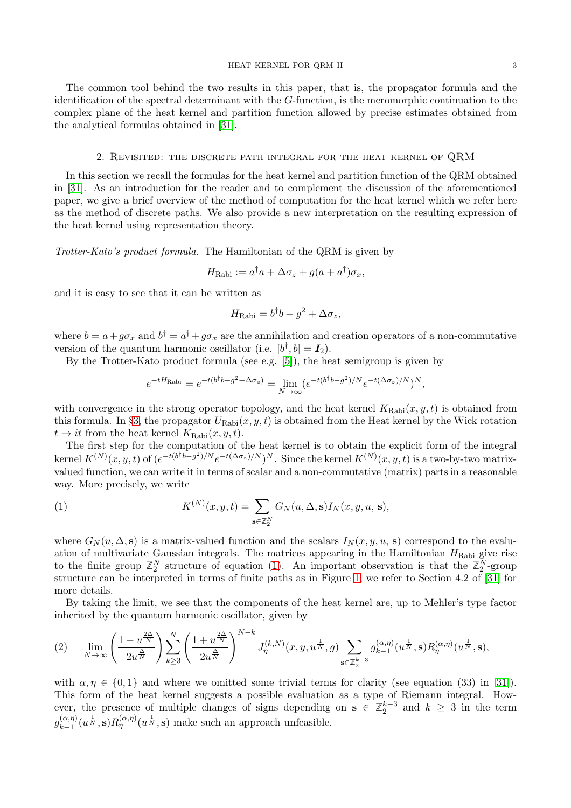The common tool behind the two results in this paper, that is, the propagator formula and the identification of the spectral determinant with the G-function, is the meromorphic continuation to the complex plane of the heat kernel and partition function allowed by precise estimates obtained from the analytical formulas obtained in [\[31\]](#page-21-1).

#### 2. Revisited: the discrete path integral for the heat kernel of QRM

<span id="page-2-0"></span>In this section we recall the formulas for the heat kernel and partition function of the QRM obtained in [\[31\]](#page-21-1). As an introduction for the reader and to complement the discussion of the aforementioned paper, we give a brief overview of the method of computation for the heat kernel which we refer here as the method of discrete paths. We also provide a new interpretation on the resulting expression of the heat kernel using representation theory.

Trotter-Kato's product formula. The Hamiltonian of the QRM is given by

$$
H_{\text{Rabi}} := a^{\dagger} a + \Delta \sigma_z + g(a + a^{\dagger}) \sigma_x,
$$

and it is easy to see that it can be written as

$$
H_{\rm Rabi} = b^{\dagger}b - g^2 + \Delta \sigma_z,
$$

where  $b = a + g\sigma_x$  and  $b^{\dagger} = a^{\dagger} + g\sigma_x$  are the annihilation and creation operators of a non-commutative version of the quantum harmonic oscillator (i.e.  $[b^{\dagger}, b] = I_2$ ).

By the Trotter-Kato product formula (see e.g.  $[5]$ ), the heat semigroup is given by

$$
e^{-tH_{\text{Rabi}}} = e^{-t(b^{\dagger}b - g^2 + \Delta\sigma_z)} = \lim_{N \to \infty} (e^{-t(b^{\dagger}b - g^2)/N}e^{-t(\Delta\sigma_z)/N})^N,
$$

with convergence in the strong operator topology, and the heat kernel  $K_{\text{Rabi}}(x, y, t)$  is obtained from this formula. In §[3,](#page-7-0) the propagator  $U_{\text{Rabi}}(x, y, t)$  is obtained from the Heat kernel by the Wick rotation  $t \to it$  from the heat kernel  $K_{\text{Rabi}}(x, y, t)$ .

The first step for the computation of the heat kernel is to obtain the explicit form of the integral kernel  $K^{(N)}(x, y, t)$  of  $(e^{-t(b^{\dagger}b-g^2)/N}e^{-t(\Delta\sigma_z)/N})^N$ . Since the kernel  $K^{(N)}(x, y, t)$  is a two-by-two matrixvalued function, we can write it in terms of scalar and a non-commutative (matrix) parts in a reasonable way. More precisely, we write

<span id="page-2-1"></span>(1) 
$$
K^{(N)}(x,y,t) = \sum_{\mathbf{s}\in\mathbb{Z}_2^N} G_N(u,\Delta,\mathbf{s}) I_N(x,y,u,\mathbf{s}),
$$

where  $G_N(u, \Delta, s)$  is a matrix-valued function and the scalars  $I_N(x, y, u, s)$  correspond to the evaluation of multivariate Gaussian integrals. The matrices appearing in the Hamiltonian  $H_{\text{Rabi}}$  give rise to the finite group  $\mathbb{Z}_2^N$  structure of equation [\(1\)](#page-2-1). An important observation is that the  $\mathbb{Z}_2^N$ -group structure can be interpreted in terms of finite paths as in Figure [1,](#page-4-0) we refer to Section 4.2 of [\[31\]](#page-21-1) for more details.

By taking the limit, we see that the components of the heat kernel are, up to Mehler's type factor inherited by the quantum harmonic oscillator, given by

<span id="page-2-2"></span>
$$
(2) \qquad \lim_{N \to \infty} \left( \frac{1 - u^{\frac{2\Delta}{N}}}{2u^{\frac{\Delta}{N}}} \right) \sum_{k \ge 3}^{N} \left( \frac{1 + u^{\frac{2\Delta}{N}}}{2u^{\frac{\Delta}{N}}} \right)^{N-k} J_{\eta}^{(k,N)}(x, y, u^{\frac{1}{N}}, g) \sum_{\mathbf{s} \in \mathbb{Z}_2^{k-3}} g_{k-1}^{(\alpha, \eta)}(u^{\frac{1}{N}}, \mathbf{s}) R_{\eta}^{(\alpha, \eta)}(u^{\frac{1}{N}}, \mathbf{s}),
$$

with  $\alpha, \eta \in \{0, 1\}$  and where we omitted some trivial terms for clarity (see equation (33) in [\[31\]](#page-21-1)). This form of the heat kernel suggests a possible evaluation as a type of Riemann integral. However, the presence of multiple changes of signs depending on  $s \in \mathbb{Z}_2^{k-3}$  and  $k \geq 3$  in the term  $g_{k-1}^{(\alpha,\eta)}$  $\lim_{k=1}^{(\alpha,\eta)} (u^{\frac{1}{N}}, \mathbf{s}) R_{\eta}^{(\alpha,\eta)}(u^{\frac{1}{N}}, \mathbf{s})$  make such an approach unfeasible.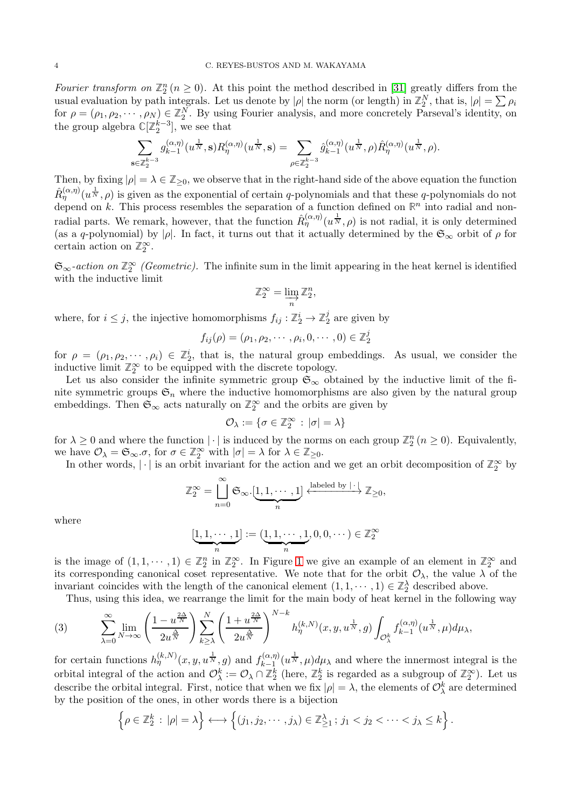Fourier transform on  $\mathbb{Z}_2^n$  ( $n \geq 0$ ). At this point the method described in [\[31\]](#page-21-1) greatly differs from the usual evaluation by path integrals. Let us denote by  $|\rho|$  the norm (or length) in  $\mathbb{Z}_2^N$ , that is,  $|\rho| = \sum \rho_i$ tisual evaluation by path integrals. Let us denote by |p| the horm (or length) in  $\mathbb{Z}_2$ , that is,  $|p| - \sum p_i$ <br>for  $\rho = (\rho_1, \rho_2, \dots, \rho_N) \in \mathbb{Z}_2^N$ . By using Fourier analysis, and more concretely Parseval's identity, o the group algebra  $\mathbb{C}[\mathbb{Z}_2^{k-3}]$ , we see that

$$
\sum_{\mathbf{s}\in\mathbb{Z}_2^{k-3}}g_{k-1}^{(\alpha,\eta)}(u^{\frac{1}{N}},\mathbf{s})R_\eta^{(\alpha,\eta)}(u^{\frac{1}{N}},\mathbf{s})=\sum_{\rho\in\mathbb{Z}_2^{k-3}}\hat{g}_{k-1}^{(\alpha,\eta)}(u^{\frac{1}{N}},\rho)\hat{R}_\eta^{(\alpha,\eta)}(u^{\frac{1}{N}},\rho).
$$

Then, by fixing  $|\rho| = \lambda \in \mathbb{Z}_{\geq 0}$ , we observe that in the right-hand side of the above equation the function  $\hat{R}_{\eta}^{(\alpha,\eta)}(u^{\frac{1}{N}},\rho)$  is given as the exponential of certain q-polynomials and that these q-polynomials do not depend on k. This process resembles the separation of a function defined on  $\mathbb{R}^n$  into radial and nonradial parts. We remark, however, that the function  $\hat{R}_{\eta}^{(\alpha,\eta)}(u^{\frac{1}{N}},\rho)$  is not radial, it is only determined (as a q-polynomial) by | $\rho$ . In fact, it turns out that it actually determined by the  $\mathfrak{S}_{\infty}$  orbit of  $\rho$  for certain action on  $\mathbb{Z}_2^{\infty}$ .

 $\mathfrak{S}_{\infty}$ -action on  $\mathbb{Z}_2^{\infty}$  (Geometric). The infinite sum in the limit appearing in the heat kernel is identified with the inductive limit

$$
\mathbb{Z}_2^{\infty} = \varinjlim_n \mathbb{Z}_2^n,
$$

where, for  $i \leq j$ , the injective homomorphisms  $f_{ij} : \mathbb{Z}_2^i \to \mathbb{Z}_2^j$  $2<sub>2</sub>$  are given by

$$
f_{ij}(\rho)=(\rho_1,\rho_2,\cdots,\rho_i,0,\cdots,0)\in\mathbb{Z}_2^j
$$

for  $\rho = (\rho_1, \rho_2, \dots, \rho_i) \in \mathbb{Z}_2^i$ , that is, the natural group embeddings. As usual, we consider the inductive limit  $\mathbb{Z}_2^{\infty}$  to be equipped with the discrete topology.

Let us also consider the infinite symmetric group  $\mathfrak{S}_{\infty}$  obtained by the inductive limit of the finite symmetric groups  $\mathfrak{S}_n$  where the inductive homomorphisms are also given by the natural group embeddings. Then  $\mathfrak{S}_{\infty}$  acts naturally on  $\mathbb{Z}_2^{\infty}$  and the orbits are given by

$$
\mathcal{O}_{\lambda} := \{ \sigma \in \mathbb{Z}_{2}^{\infty} : |\sigma| = \lambda \}
$$

for  $\lambda \geq 0$  and where the function  $|\cdot|$  is induced by the norms on each group  $\mathbb{Z}_2^n$   $(n \geq 0)$ . Equivalently, we have  $\mathcal{O}_{\lambda} = \mathfrak{S}_{\infty} \sigma$ , for  $\sigma \in \mathbb{Z}_2^{\infty}$  with  $|\sigma| = \lambda$  for  $\lambda \in \mathbb{Z}_{\geq 0}$ .

In other words,  $|\cdot|$  is an orbit invariant for the action and we get an orbit decomposition of  $\mathbb{Z}_2^{\infty}$  by

$$
\mathbb{Z}_2^{\infty} = \bigcup_{n=0}^{\infty} \mathfrak{S}_{\infty}.[\underbrace{1,1,\cdots,1}_{n}] \xleftarrow{\text{labeled by } |\cdot|} \mathbb{Z}_{\geq 0},
$$

where

$$
[\underbrace{1,1,\cdots,1}_{n}]:=(\underbrace{1,1,\cdots,1}_{n},0,0,\cdots)\in\mathbb{Z}_{2}^{\infty}
$$

is the image of  $(1, 1, \dots, 1) \in \mathbb{Z}_2^n$  $(1, 1, \dots, 1) \in \mathbb{Z}_2^n$  $(1, 1, \dots, 1) \in \mathbb{Z}_2^n$  in  $\mathbb{Z}_2^{\infty}$ . In Figure 1 we give an example of an element in  $\mathbb{Z}_2^{\infty}$  and its corresponding canonical coset representative. We note that for the orbit  $\mathcal{O}_{\lambda}$ , the value  $\lambda$  of the invariant coincides with the length of the canonical element  $(1, 1, \dots, 1) \in \mathbb{Z}_2^{\lambda}$  described above.

<span id="page-3-0"></span>Thus, using this idea, we rearrange the limit for the main body of heat kernel in the following way

(3) 
$$
\sum_{\lambda=0}^{\infty} \lim_{N \to \infty} \left( \frac{1 - u^{\frac{2\Delta}{N}}}{2u^{\frac{\Delta}{N}}} \right) \sum_{k \ge \lambda}^{N} \left( \frac{1 + u^{\frac{2\Delta}{N}}}{2u^{\frac{\Delta}{N}}} \right)^{N-k} h_{\eta}^{(k,N)}(x, y, u^{\frac{1}{N}}, g) \int_{\mathcal{O}_{\lambda}^{k}} f_{k-1}^{(\alpha, \eta)}(u^{\frac{1}{N}}, \mu) d\mu_{\lambda},
$$

for certain functions  $h_{\eta}^{(k,N)}(x,y,u^{\frac{1}{N}},g)$  and  $f_{k-1}^{(\alpha,\eta)}$  $\sum_{k=1}^{N(\alpha,\eta)} (u^{\frac{1}{N}}, \mu) d\mu_{\lambda}$  and where the innermost integral is the orbital integral of the action and  $\mathcal{O}_{\lambda}^k := \mathcal{O}_{\lambda} \cap \mathbb{Z}_2^k$  (here,  $\mathbb{Z}_2^k$  is regarded as a subgroup of  $\mathbb{Z}_2^{\infty}$ ). Let us describe the orbital integral. First, notice that when we fix  $|\rho| = \lambda$ , the elements of  $\mathcal{O}_{\lambda}^{k}$  are determined by the position of the ones, in other words there is a bijection

$$
\left\{\rho\in\mathbb{Z}_2^k\,:\,|\rho|=\lambda\right\}\longleftrightarrow\left\{(j_1,j_2,\cdots,j_\lambda)\in\mathbb{Z}_{\geq1}^\lambda\,;\,j_1
$$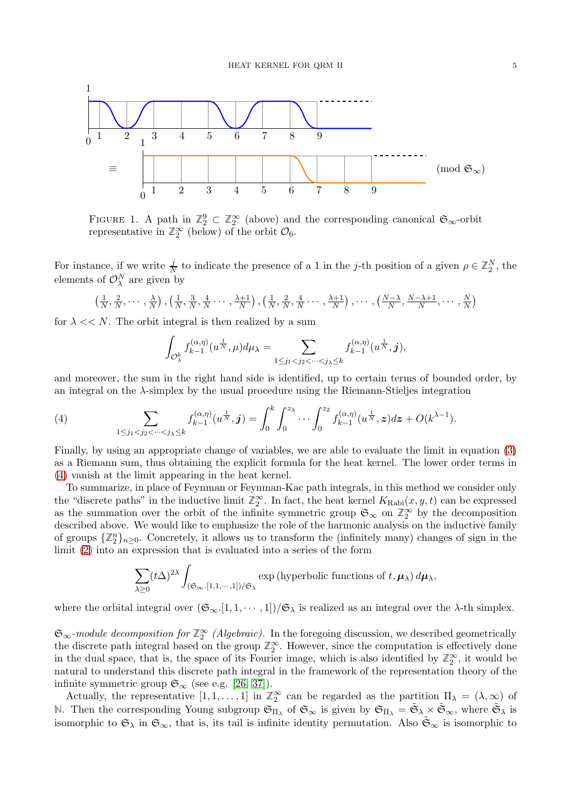<span id="page-4-0"></span>

FIGURE 1. A path in  $\mathbb{Z}_2^9 \subset \mathbb{Z}_2^{\infty}$  (above) and the corresponding canonical  $\mathfrak{S}_{\infty}$ -orbit representative in  $\mathbb{Z}_2^{\infty}$  (below) of the orbit  $\mathcal{O}_6$ .

For instance, if we write  $\frac{j}{N}$  to indicate the presence of a 1 in the j-th position of a given  $\rho \in \mathbb{Z}_2^N$ , the elements of  $\mathcal{O}_\lambda^N$  are given by

$$
\left(\frac{1}{N}, \frac{2}{N}, \cdots, \frac{\lambda}{N}\right), \left(\frac{1}{N}, \frac{3}{N}, \frac{4}{N}, \cdots, \frac{\lambda+1}{N}\right), \left(\frac{1}{N}, \frac{2}{N}, \frac{4}{N}, \cdots, \frac{\lambda+1}{N}\right), \cdots, \left(\frac{N-\lambda}{N}, \frac{N-\lambda+1}{N}, \cdots, \frac{N}{N}\right)
$$

for  $\lambda \ll N$ . The orbit integral is then realized by a sum

$$
\int_{\mathcal{O}_{\lambda}^k} f_{k-1}^{(\alpha,\eta)}(u^{\frac{1}{N}},\mu) d\mu_{\lambda} = \sum_{1 \leq j_1 < j_2 < \cdots < j_{\lambda} \leq k} f_{k-1}^{(\alpha,\eta)}(u^{\frac{1}{N}},j),
$$

and moreover, the sum in the right hand side is identified, up to certain terms of bounded order, by an integral on the λ-simplex by the usual procedure using the Riemann-Stieljes integration

<span id="page-4-1"></span>(4) 
$$
\sum_{1 \leq j_1 < j_2 < \cdots < j_\lambda \leq k} f_{k-1}^{(\alpha,\eta)}(u^{\frac{1}{N}}, \mathbf{j}) = \int_0^k \int_0^{z_\lambda} \cdots \int_0^{z_2} f_{k-1}^{(\alpha,\eta)}(u^{\frac{1}{N}}, z) dz + O(k^{\lambda-1}).
$$

Finally, by using an appropriate change of variables, we are able to evaluate the limit in equation [\(3\)](#page-3-0) as a Riemann sum, thus obtaining the explicit formula for the heat kernel. The lower order terms in [\(4\)](#page-4-1) vanish at the limit appearing in the heat kernel.

To summarize, in place of Feynman or Feynman-Kac path integrals, in this method we consider only the "discrete paths" in the inductive limit  $\mathbb{Z}_2^{\infty}$ . In fact, the heat kernel  $K_{\text{Rabi}}(x, y, t)$  can be expressed as the summation over the orbit of the infinite symmetric group  $\mathfrak{S}_{\infty}$  on  $\mathbb{Z}_2^{\infty}$  by the decomposition described above. We would like to emphasize the role of the harmonic analysis on the inductive family of groups  $\{\mathbb{Z}_2^n\}_{n\geq 0}$ . Concretely, it allows us to transform the (infinitely many) changes of sign in the limit [\(2\)](#page-2-2) into an expression that is evaluated into a series of the form

$$
\sum_{\lambda \geq 0} (t\Delta)^{2\lambda} \int_{(\mathfrak{S}_{\infty}, [1,1,\cdots,1])/\mathfrak{S}_{\lambda}} \exp\left(\text{hyperbolic functions of } t, \mu_{\lambda}\right) d\mu_{\lambda},
$$

where the orbital integral over  $(\mathfrak{S}_{\infty}, [1, 1, \cdots, 1])/\mathfrak{S}_{\lambda}$  is realized as an integral over the  $\lambda$ -th simplex.

 $\mathfrak{S}_{\infty}$ -module decomposition for  $\mathbb{Z}_2^{\infty}$  (Algebraic). In the foregoing discussion, we described geometrically the discrete path integral based on the group  $\mathbb{Z}_2^{\infty}$ . However, since the computation is effectively done in the dual space, that is, the space of its Fourier image, which is also identified by  $\mathbb{Z}_2^{\infty}$ , it would be natural to understand this discrete path integral in the framework of the representation theory of the infinite symmetric group  $\mathfrak{S}_{\infty}$  (see e.g. [\[26,](#page-20-13) [37\]](#page-21-7)).

Actually, the representative  $[1, 1, \ldots, 1]$  in  $\mathbb{Z}_2^{\infty}$  can be regarded as the partition  $\Pi_{\lambda} = (\lambda, \infty)$  of N. Then the corresponding Young subgroup  $\mathfrak{S}_{\Pi_{\lambda}}$  of  $\mathfrak{S}_{\infty}$  is given by  $\mathfrak{S}_{\Pi_{\lambda}} = \tilde{\mathfrak{S}}_{\lambda} \times \tilde{\mathfrak{S}}_{\infty}$ , where  $\tilde{\mathfrak{S}}_{\lambda}$  is isomorphic to  $\mathfrak{S}_{\lambda}$  in  $\mathfrak{S}_{\infty}$ , that is, its tail is infinite identity permutation. Also  $\mathfrak{S}_{\infty}$  is isomorphic to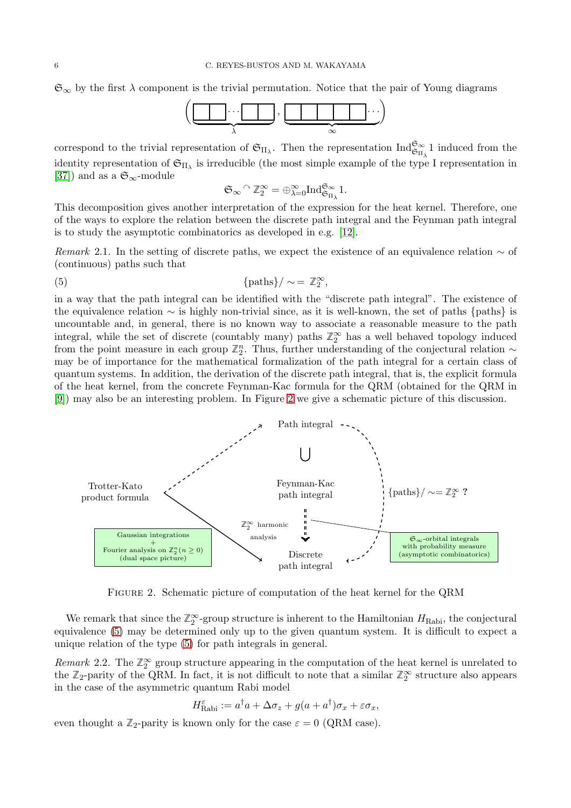$\mathfrak{S}_{\infty}$  by the first  $\lambda$  component is the trivial permutation. Notice that the pair of Young diagrams

 · · · | {z } λ , · · · | {z } ∞ 

correspond to the trivial representation of  $\mathfrak{S}_{\Pi_{\lambda}}$ . Then the representation  $\text{Ind}_{\mathfrak{S}_{\Pi_{\lambda}}}^{\mathfrak{S}_{\infty}}$  1 induced from the identity representation of  $\mathfrak{S}_{\Pi_{\lambda}}$  is irreducible (the most simple example of the type I representation in [\[37\]](#page-21-7)) and as a  $\mathfrak{S}_{\infty}$ -module

$$
\mathfrak{S}_{\infty} \widehat{\phantom{\alpha}}^{\!\vartriangle}\mathbb{Z}_2^{\infty} = \oplus_{\lambda=0}^{\infty} \mathrm{Ind}_{\mathfrak{S}_{\Pi_{\lambda}}}^{\mathfrak{S}_{\infty}} 1.
$$

This decomposition gives another interpretation of the expression for the heat kernel. Therefore, one of the ways to explore the relation between the discrete path integral and the Feynman path integral is to study the asymptotic combinatorics as developed in e.g. [\[12\]](#page-20-14).

Remark 2.1. In the setting of discrete paths, we expect the existence of an equivalence relation  $\sim$  of (continuous) paths such that

<span id="page-5-1"></span>,

(5) 
$$
\left\{\text{paths}\right\}/\sim = \mathbb{Z}_2^{\infty}
$$

in a way that the path integral can be identified with the "discrete path integral". The existence of the equivalence relation ∼ is highly non-trivial since, as it is well-known, the set of paths {paths} is uncountable and, in general, there is no known way to associate a reasonable measure to the path integral, while the set of discrete (countably many) paths  $\mathbb{Z}_2^{\infty}$  has a well behaved topology induced from the point measure in each group  $\mathbb{Z}_2^n$ . Thus, further understanding of the conjectural relation ∼ may be of importance for the mathematical formalization of the path integral for a certain class of quantum systems. In addition, the derivation of the discrete path integral, that is, the explicit formula of the heat kernel, from the concrete Feynman-Kac formula for the QRM (obtained for the QRM in [\[9\]](#page-20-6)) may also be an interesting problem. In Figure [2](#page-5-0) we give a schematic picture of this discussion.

<span id="page-5-0"></span>

Figure 2. Schematic picture of computation of the heat kernel for the QRM

We remark that since the  $\mathbb{Z}_2^{\infty}$ -group structure is inherent to the Hamiltonian  $H_{\text{Rabi}}$ , the conjectural equivalence [\(5\)](#page-5-1) may be determined only up to the given quantum system. It is difficult to expect a unique relation of the type [\(5\)](#page-5-1) for path integrals in general.

Remark 2.2. The  $\mathbb{Z}_2^{\infty}$  group structure appearing in the computation of the heat kernel is unrelated to the  $\mathbb{Z}_2$ -parity of the QRM. In fact, it is not difficult to note that a similar  $\mathbb{Z}_2^{\infty}$  structure also appears in the case of the asymmetric quantum Rabi model

$$
H_{\text{Rabi}}^{\varepsilon} := a^{\dagger} a + \Delta \sigma_z + g(a + a^{\dagger}) \sigma_x + \varepsilon \sigma_x,
$$

even thought a  $\mathbb{Z}_2$ -parity is known only for the case  $\varepsilon = 0$  (QRM case).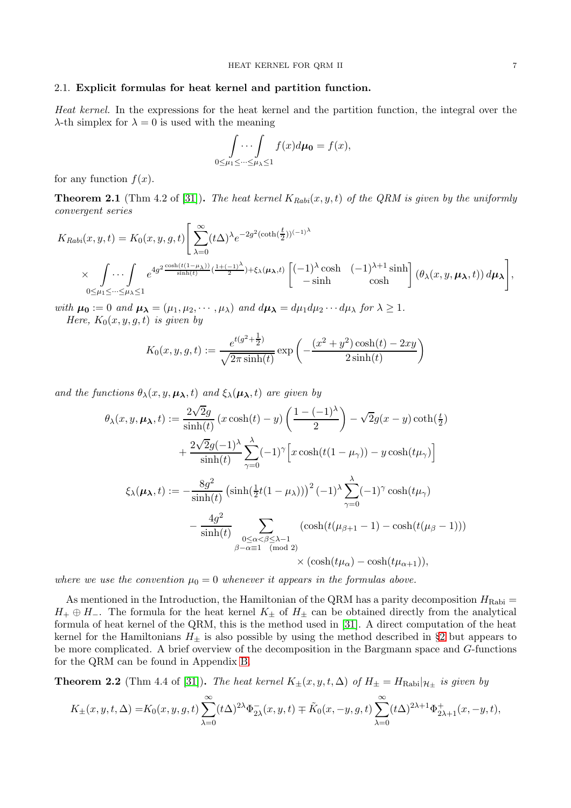# <span id="page-6-0"></span>2.1. Explicit formulas for heat kernel and partition function.

Heat kernel. In the expressions for the heat kernel and the partition function, the integral over the  $\lambda$ -th simplex for  $\lambda = 0$  is used with the meaning

$$
\int\limits_{0\leq\mu_1\leq\cdots\leq\mu_\lambda\leq 1}f(x)d\mu_0=f(x),
$$

for any function  $f(x)$ .

**Theorem 2.1** (Thm 4.2 of [\[31\]](#page-21-1)). The heat kernel  $K_{Rabi}(x, y, t)$  of the QRM is given by the uniformly convergent series

$$
K_{Rabi}(x, y, t) = K_0(x, y, g, t) \left[ \sum_{\lambda=0}^{\infty} (t\Delta)^{\lambda} e^{-2g^2(\coth(\frac{t}{2}))^{(-1)^{\lambda}}}\right]
$$
  
 
$$
\times \int \cdots \int_{0 \leq \mu_1 \leq \cdots \leq \mu_{\lambda} \leq 1} e^{4g^2 \frac{\cosh(t(1-\mu_{\lambda}))}{\sinh(t)} (\frac{1+(-1)^{\lambda}}{2}) + \xi_{\lambda}(\mu_{\lambda}, t)} \left[ (-1)^{\lambda} \cosh(-1)^{\lambda+1} \sinh \right] (\theta_{\lambda}(x, y, \mu_{\lambda}, t)) d\mu_{\lambda} \right],
$$

with  $\mu_0 := 0$  and  $\mu_\lambda = (\mu_1, \mu_2, \cdots, \mu_\lambda)$  and  $d\mu_\lambda = d\mu_1 d\mu_2 \cdots d\mu_\lambda$  for  $\lambda \geq 1$ . Here,  $K_0(x, y, g, t)$  is given by

$$
K_0(x, y, g, t) := \frac{e^{t(g^2 + \frac{1}{2})}}{\sqrt{2\pi \sinh(t)}} \exp\left(-\frac{(x^2 + y^2)\cosh(t) - 2xy}{2\sinh(t)}\right)
$$

and the functions  $\theta_{\lambda}(x, y, \mu_{\lambda}, t)$  and  $\xi_{\lambda}(\mu_{\lambda}, t)$  are given by

$$
\theta_{\lambda}(x, y, \mu_{\lambda}, t) := \frac{2\sqrt{2}g}{\sinh(t)} (x \cosh(t) - y) \left( \frac{1 - (-1)^{\lambda}}{2} \right) - \sqrt{2}g(x - y) \coth(\frac{t}{2}) \n+ \frac{2\sqrt{2}g(-1)^{\lambda}}{\sinh(t)} \sum_{\gamma=0}^{\lambda} (-1)^{\gamma} \left[ x \cosh(t(1 - \mu_{\gamma})) - y \cosh(t\mu_{\gamma}) \right] \n\xi_{\lambda}(\mu_{\lambda}, t) := - \frac{8g^{2}}{\sinh(t)} \left( \sinh(\frac{1}{2}t(1 - \mu_{\lambda})) \right)^{2} (-1)^{\lambda} \sum_{\gamma=0}^{\lambda} (-1)^{\gamma} \cosh(t\mu_{\gamma}) \n- \frac{4g^{2}}{\sinh(t)} \sum_{\substack{0 \le \alpha < \beta \le \lambda - 1 \\ \beta - \alpha \equiv 1 \pmod{2}}} (\cosh(t(\mu_{\beta + 1} - 1) - \cosh(t(\mu_{\beta} - 1))) \n\times (\cosh(t\mu_{\alpha}) - \cosh(t\mu_{\alpha + 1})),
$$

where we use the convention  $\mu_0 = 0$  whenever it appears in the formulas above.

As mentioned in the Introduction, the Hamiltonian of the QRM has a parity decomposition  $H_{\text{Rabi}} =$  $H_+ \oplus H_-.$  The formula for the heat kernel  $K_{\pm}$  of  $H_{\pm}$  can be obtained directly from the analytical formula of heat kernel of the QRM, this is the method used in [\[31\]](#page-21-1). A direct computation of the heat kernel for the Hamiltonians  $H_{+}$  is also possible by using the method described in §[2](#page-2-0) but appears to be more complicated. A brief overview of the decomposition in the Bargmann space and G-functions for the QRM can be found in Appendix [B.](#page-17-0)

**Theorem 2.2** (Thm 4.4 of [\[31\]](#page-21-1)). The heat kernel  $K_{\pm}(x, y, t, \Delta)$  of  $H_{\pm} = H_{\text{Rabi}}|_{\mathcal{H}_{\pm}}$  is given by

$$
K_{\pm}(x,y,t,\Delta)=K_0(x,y,g,t)\sum_{\lambda=0}^{\infty}(t\Delta)^{2\lambda}\Phi_{2\lambda}^-(x,y,t)\mp\tilde{K}_0(x,-y,g,t)\sum_{\lambda=0}^{\infty}(t\Delta)^{2\lambda+1}\Phi_{2\lambda+1}^+(x,-y,t),
$$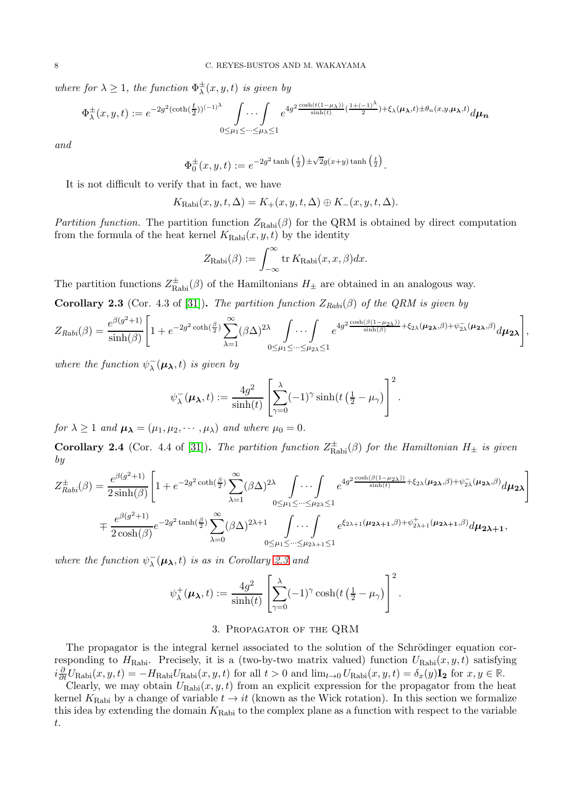where for  $\lambda \geq 1$ , the function  $\Phi_{\lambda}^{\pm}(x, y, t)$  is given by

$$
\Phi^{\pm}_{\lambda}(x,y,t) := e^{-2g^2(\coth(\frac{t}{2}))^{(-1)^{\lambda}}} \int \cdots \int e^{4g^2 \frac{\cosh(t(1-\mu_{\lambda}))}{\sinh(t)}(\frac{1+(-1)^{\lambda}}{2}) + \xi_{\lambda}(\mu_{\lambda},t) \pm \theta_n(x,y,\mu_{\lambda},t)} d\mu_{\mathbf{n}}
$$

and

$$
\Phi_0^{\pm}(x, y, t) := e^{-2g^2 \tanh\left(\frac{t}{2}\right) \pm \sqrt{2}g(x+y) \tanh\left(\frac{t}{2}\right)}.
$$

It is not difficult to verify that in fact, we have

$$
K_{\text{Rabi}}(x, y, t, \Delta) = K_{+}(x, y, t, \Delta) \oplus K_{-}(x, y, t, \Delta).
$$

Partition function. The partition function  $Z_{\text{Rabi}}(\beta)$  for the QRM is obtained by direct computation from the formula of the heat kernel  $K_{\text{Rabi}}(x, y, t)$  by the identity

$$
Z_{\text{Rabi}}(\beta) := \int_{-\infty}^{\infty} \text{tr} \, K_{\text{Rabi}}(x, x, \beta) dx.
$$

The partition functions  $Z_{\text{Rabi}}^{\pm}(\beta)$  of the Hamiltonians  $H_{\pm}$  are obtained in an analogous way.

<span id="page-7-1"></span>**Corollary 2.3** (Cor. 4.3 of [\[31\]](#page-21-1)). The partition function  $Z_{Rabi}(\beta)$  of the QRM is given by

$$
Z_{Rabi}(\beta) = \frac{e^{\beta(g^2+1)}}{\sinh(\beta)} \left[ 1 + e^{-2g^2 \coth(\frac{\beta}{2})} \sum_{\lambda=1}^{\infty} (\beta \Delta)^{2\lambda} \int \cdots \int e^{4g^2 \frac{\cosh(\beta(1-\mu_{2\lambda}))}{\sinh(\beta)} + \xi_{2\lambda}(\mu_{2\lambda}, \beta) + \psi_{2\lambda}^-(\mu_{2\lambda}, \beta)} d\mu_{2\lambda} \right],
$$

where the function  $\psi^{-}_{\lambda}(\mu_{\lambda}, t)$  is given by

$$
\psi_{\lambda}^{-}(\boldsymbol{\mu}_{\boldsymbol{\lambda}},t):=\frac{4g^2}{\sinh(t)}\left[\sum_{\gamma=0}^{\lambda}(-1)^{\gamma}\sinh(t\left(\frac{1}{2}-\mu_{\gamma}\right)\right]^2.
$$

for  $\lambda \geq 1$  and  $\mu_{\lambda} = (\mu_1, \mu_2, \cdots, \mu_{\lambda})$  and where  $\mu_0 = 0$ .

**Corollary 2.4** (Cor. 4.4 of [\[31\]](#page-21-1)). The partition function  $Z_{\text{Rabi}}^{\pm}(\beta)$  for the Hamiltonian  $H_{\pm}$  is given by

$$
Z_{Rabi}^{\pm}(\beta) = \frac{e^{\beta(g^2+1)}}{2\sinh(\beta)} \left[ 1 + e^{-2g^2 \coth(\frac{\beta}{2})} \sum_{\lambda=1}^{\infty} (\beta \Delta)^{2\lambda} \int \cdots \int_{0 \le \mu_1 \le \cdots \le \mu_{2\lambda} \le 1} e^{4g^2 \frac{\cosh(\beta(1-\mu_{2\lambda}))}{\sinh(t)} + \xi_{2\lambda}(\mu_{2\lambda}, \beta) + \psi_{2\lambda}^-(\mu_{2\lambda}, \beta)} d\mu_{2\lambda} \right]
$$
  

$$
= \frac{e^{\beta(g^2+1)}}{2\cosh(\beta)} e^{-2g^2 \tanh(\frac{\beta}{2})} \sum_{\lambda=0}^{\infty} (\beta \Delta)^{2\lambda+1} \int \cdots \int_{0 \le \mu_1 \le \cdots \le \mu_{2\lambda+1} \le 1} e^{\xi_{2\lambda+1}(\mu_{2\lambda+1}, \beta) + \psi_{2\lambda+1}^+(\mu_{2\lambda+1}, \beta)} d\mu_{2\lambda+1},
$$

where the function  $\psi^{-}_{\lambda}(\mu_{\lambda}, t)$  is as in Corollary [2.3](#page-7-1) and

$$
\psi_{\lambda}^{+}(\boldsymbol{\mu}_{\boldsymbol{\lambda}},t) := \frac{4g^2}{\sinh(t)} \left[ \sum_{\gamma=0}^{\lambda} (-1)^{\gamma} \cosh(t \left( \frac{1}{2} - \mu_{\gamma} \right) \right]^2.
$$

#### 3. Propagator of the QRM

<span id="page-7-0"></span>The propagator is the integral kernel associated to the solution of the Schrödinger equation corresponding to  $H_{\text{Rabi}}$ . Precisely, it is a (two-by-two matrix valued) function  $U_{\text{Rabi}}(x, y, t)$  satisfying  $i\frac{\partial}{\partial t}U_{\text{Rabi}}(x, y, t) = -H_{\text{Rabi}}U_{\text{Rabi}}(x, y, t)$  for all  $t > 0$  and  $\lim_{t\to 0} U_{\text{Rabi}}(x, y, t) = \delta_x(y)\mathbf{I_2}$  for  $x, y \in \mathbb{R}$ .

Clearly, we may obtain  $U_{\text{Rabi}}(x, y, t)$  from an explicit expression for the propagator from the heat kernel  $K_{\text{Rabi}}$  by a change of variable  $t \to it$  (known as the Wick rotation). In this section we formalize this idea by extending the domain  $K_{\text{Rabi}}$  to the complex plane as a function with respect to the variable t.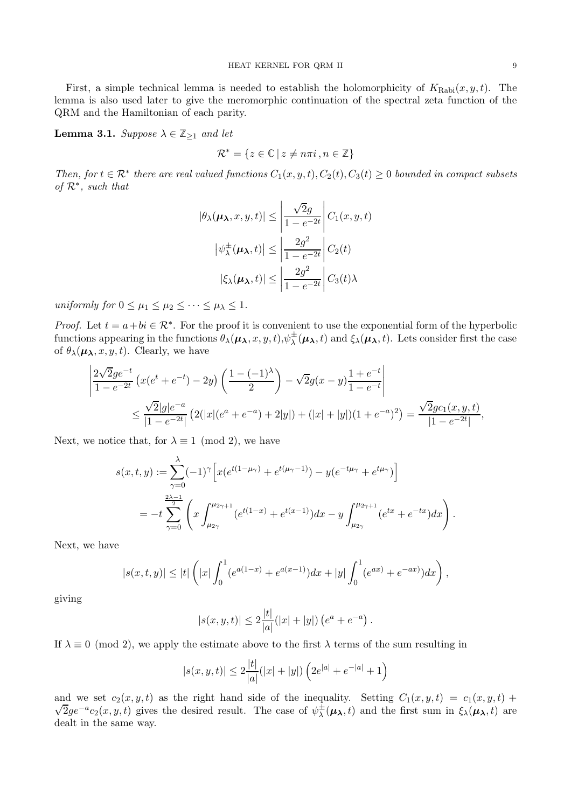First, a simple technical lemma is needed to establish the holomorphicity of  $K_{\text{Rabi}}(x, y, t)$ . The lemma is also used later to give the meromorphic continuation of the spectral zeta function of the QRM and the Hamiltonian of each parity.

<span id="page-8-0"></span>**Lemma 3.1.** Suppose  $\lambda \in \mathbb{Z}_{\geq 1}$  and let

$$
\mathcal{R}^* = \{ z \in \mathbb{C} \mid z \neq n\pi i, n \in \mathbb{Z} \}
$$

Then, for  $t \in \mathcal{R}^*$  there are real valued functions  $C_1(x, y, t)$ ,  $C_2(t)$ ,  $C_3(t) \geq 0$  bounded in compact subsets of  $\mathcal{R}^*$ , such that

$$
|\theta_{\lambda}(\mu_{\lambda}, x, y, t)| \leq \left| \frac{\sqrt{2}g}{1 - e^{-2t}} \right| C_1(x, y, t)
$$

$$
|\psi_{\lambda}^{\pm}(\mu_{\lambda}, t)| \leq \left| \frac{2g^2}{1 - e^{-2t}} \right| C_2(t)
$$

$$
|\xi_{\lambda}(\mu_{\lambda}, t)| \leq \left| \frac{2g^2}{1 - e^{-2t}} \right| C_3(t)\lambda
$$

uniformly for  $0 \leq \mu_1 \leq \mu_2 \leq \cdots \leq \mu_{\lambda} \leq 1$ .

*Proof.* Let  $t = a + bi \in \mathbb{R}^*$ . For the proof it is convenient to use the exponential form of the hyperbolic functions appearing in the functions  $\theta_\lambda(\mu_\lambda, x, y, t), \psi_\lambda^{\pm}(\mu_\lambda, t)$  and  $\xi_\lambda(\mu_\lambda, t)$ . Lets consider first the case of  $\theta_{\lambda}(\mu_{\lambda}, x, y, t)$ . Clearly, we have

$$
\left| \frac{2\sqrt{2}ge^{-t}}{1 - e^{-2t}} \left( x(e^t + e^{-t}) - 2y \right) \left( \frac{1 - (-1)^{\lambda}}{2} \right) - \sqrt{2}g(x - y) \frac{1 + e^{-t}}{1 - e^{-t}} \right|
$$
  

$$
\leq \frac{\sqrt{2}|g|e^{-a}}{|1 - e^{-2t}|} \left( 2(|x|(e^a + e^{-a}) + 2|y|) + (|x| + |y|)(1 + e^{-a})^2 \right) = \frac{\sqrt{2}gc_1(x, y, t)}{|1 - e^{-2t}|},
$$

Next, we notice that, for  $\lambda \equiv 1 \pmod{2}$ , we have

$$
s(x,t,y) := \sum_{\gamma=0}^{\lambda} (-1)^{\gamma} \left[ x(e^{t(1-\mu_{\gamma})} + e^{t(\mu_{\gamma}-1)}) - y(e^{-t\mu_{\gamma}} + e^{t\mu_{\gamma}}) \right]
$$
  
= 
$$
-t \sum_{\gamma=0}^{\frac{2\lambda-1}{2}} \left( x \int_{\mu_{2\gamma}}^{\mu_{2\gamma+1}} (e^{t(1-x)} + e^{t(x-1)}) dx - y \int_{\mu_{2\gamma}}^{\mu_{2\gamma+1}} (e^{tx} + e^{-tx}) dx \right).
$$

Next, we have

$$
|s(x,t,y)| \leq |t| \left( |x| \int_0^1 (e^{a(1-x)} + e^{a(x-1)}) dx + |y| \int_0^1 (e^{ax}) + e^{-ax} dx \right),
$$

giving

$$
|s(x, y, t)| \leq 2\frac{|t|}{|a|}(|x| + |y|) (e^a + e^{-a}).
$$

If  $\lambda \equiv 0 \pmod{2}$ , we apply the estimate above to the first  $\lambda$  terms of the sum resulting in

$$
|s(x, y, t)| \le 2\frac{|t|}{|a|}(|x| + |y|) \left(2e^{|a|} + e^{-|a|} + 1\right)
$$

and we set  $c_2(x, y, t)$  as the right hand side of the inequality. Setting  $C_1(x, y, t) = c_1(x, y, t) + c_2(x, y, t)$  $\sqrt{2}ge^{-a}c_2(x,y,t)$  gives the desired result. The case of  $\psi^{\pm}_{\lambda}(\mu_{\lambda},t)$  and the first sum in  $\xi_{\lambda}(\mu_{\lambda},t)$  are dealt in the same way.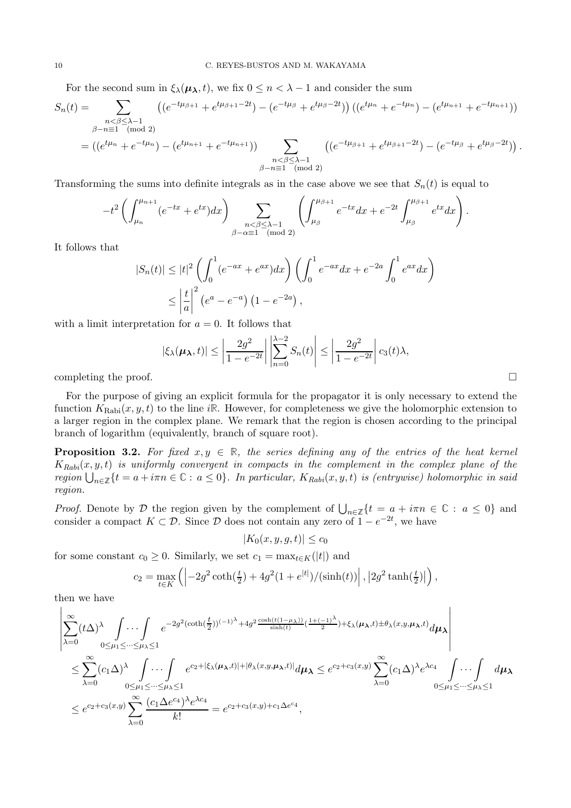For the second sum in  $\xi_{\lambda}(\mu_{\lambda}, t)$ , we fix  $0 \leq n < \lambda - 1$  and consider the sum

$$
S_n(t) = \sum_{\substack{n < \beta \leq \lambda - 1 \\ \beta - n \equiv 1 \pmod{2} \\ \vdots \\0 < e^{-t\mu_n} + e^{-t\mu_n}}}\left( (e^{-t\mu_{\beta+1}} + e^{t\mu_{\beta+1} - 2t}) - (e^{-t\mu_{\beta}} + e^{t\mu_{\beta} - 2t}) \right) \left( (e^{t\mu_n} + e^{-t\mu_n}) - (e^{t\mu_{n+1}} + e^{-t\mu_{n+1}}) \right)
$$
\n
$$
= \left( (e^{t\mu_n} + e^{-t\mu_n}) - (e^{t\mu_{n+1}} + e^{-t\mu_{n+1}}) \right) \sum_{\substack{n < \beta \leq \lambda - 1 \\ \beta - n \equiv 1 \pmod{2}}} \left( (e^{-t\mu_{\beta+1}} + e^{t\mu_{\beta+1} - 2t}) - (e^{-t\mu_{\beta}} + e^{t\mu_{\beta} - 2t}) \right).
$$

Transforming the sums into definite integrals as in the case above we see that  $S_n(t)$  is equal to

$$
-t^2 \left( \int_{\mu_n}^{\mu_{n+1}} (e^{-tx} + e^{tx}) dx \right) \sum_{\substack{n < \beta \le \lambda - 1 \\ \beta - \alpha \equiv 1 \pmod{2}}} \left( \int_{\mu_\beta}^{\mu_{\beta+1}} e^{-tx} dx + e^{-2t} \int_{\mu_\beta}^{\mu_{\beta+1}} e^{tx} dx \right).
$$

It follows that

$$
|S_n(t)| \le |t|^2 \left( \int_0^1 (e^{-ax} + e^{ax}) dx \right) \left( \int_0^1 e^{-ax} dx + e^{-2a} \int_0^1 e^{ax} dx \right)
$$
  

$$
\le \left| \frac{t}{a} \right|^2 \left( e^a - e^{-a} \right) \left( 1 - e^{-2a} \right),
$$

with a limit interpretation for  $a = 0$ . It follows that

$$
|\xi_{\lambda}(\boldsymbol{\mu}_{\boldsymbol{\lambda}},t)| \leq \left|\frac{2g^2}{1-e^{-2t}}\right| \left|\sum_{n=0}^{\lambda-2} S_n(t)\right| \leq \left|\frac{2g^2}{1-e^{-2t}}\right| c_3(t)\lambda,
$$

completing the proof.  $\Box$ 

For the purpose of giving an explicit formula for the propagator it is only necessary to extend the function  $K_{\text{Rabi}}(x, y, t)$  to the line i<sub>R</sub>. However, for completeness we give the holomorphic extension to a larger region in the complex plane. We remark that the region is chosen according to the principal branch of logarithm (equivalently, branch of square root).

<span id="page-9-0"></span>**Proposition 3.2.** For fixed  $x, y \in \mathbb{R}$ , the series defining any of the entries of the heat kernel  $K_{Rabi}(x, y, t)$  is uniformly convergent in compacts in the complement in the complex plane of the  $region \bigcup_{n\in\mathbb{Z}}\{t = a + i\pi n \in \mathbb{C} : a \leq 0\}.$  In particular,  $K_{Rabi}(x, y, t)$  is (entrywise) holomorphic in said region.

Proof. Denote by  $\mathcal{D}$  the region given by the complement of  $\bigcup_{n\in\mathbb{Z}}\{t = a + i\pi n \in \mathbb{C} : a \leq 0\}$  and consider a compact  $K \subset \mathcal{D}$ . Since  $\mathcal D$  does not contain any zero of  $1 - e^{-2t}$ , we have

 $|K_0(x, y, g, t)| \leq c_0$ 

for some constant  $c_0 \geq 0$ . Similarly, we set  $c_1 = \max_{t \in K} (|t|)$  and

$$
c_2 = \max_{t \in K} \left( \left| -2g^2 \coth(\frac{t}{2}) + 4g^2 (1 + e^{|t|}) / (\sinh(t)) \right|, \left| 2g^2 \tanh(\frac{t}{2}) \right| \right),
$$

then we have

$$
\begin{split}\n&\left|\sum_{\lambda=0}^{\infty}(t\Delta)^{\lambda}\int\ldots\int\limits_{0\leq\mu_{1}\leq\ldots\leq\mu_{\lambda}\leq1}e^{-2g^{2}(\coth(\frac{t}{2}))^{(-1)^{\lambda}}+4g^{2}\frac{\cosh(t(1-\mu_{\lambda}))}{\sinh(t)}(\frac{1+(-1)^{\lambda}}{2})+\xi_{\lambda}(\mu_{\lambda},t)\pm\theta_{\lambda}(x,y,\mu_{\lambda},t)}d\mu_{\lambda}\right| \\
&\leq\sum_{\lambda=0}^{\infty}(c_{1}\Delta)^{\lambda}\int\ldots\int\limits_{0\leq\mu_{1}\leq\ldots\leq\mu_{\lambda}\leq1}e^{c_{2}+|\xi_{\lambda}(\mu_{\lambda},t)|+|\theta_{\lambda}(x,y,\mu_{\lambda},t)|}d\mu_{\lambda}\leq e^{c_{2}+c_{3}(x,y)}\sum_{\lambda=0}^{\infty}(c_{1}\Delta)^{\lambda}e^{\lambda c_{4}}\int\ldots\int\limits_{0\leq\mu_{1}\leq\ldots\leq\mu_{\lambda}\leq1}d\mu_{\lambda} \\
&\leq e^{c_{2}+c_{3}(x,y)}\sum_{\lambda=0}^{\infty}\frac{(c_{1}\Delta e^{c_{4}})^{\lambda}e^{\lambda c_{4}}}{k!}=e^{c_{2}+c_{3}(x,y)+c_{1}\Delta e^{c_{4}}},\n\end{split}
$$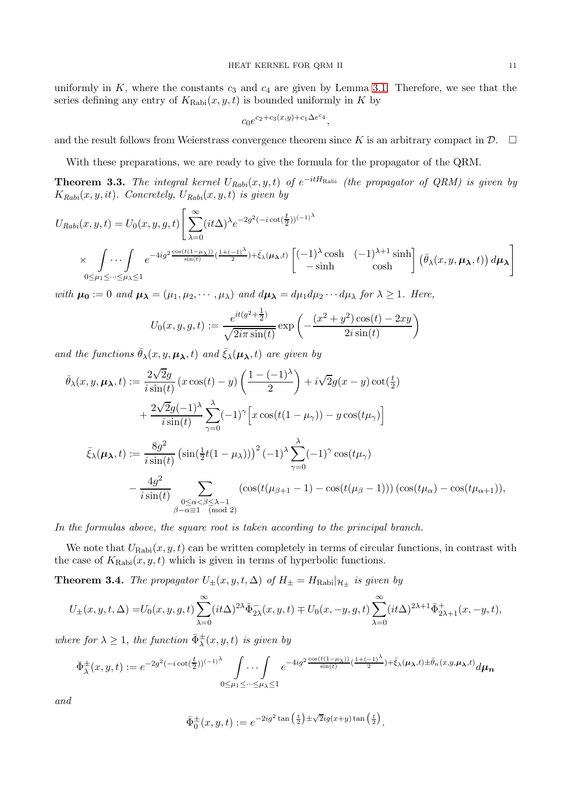uniformly in  $K$ , where the constants  $c_3$  and  $c_4$  are given by Lemma [3.1.](#page-8-0) Therefore, we see that the series defining any entry of  $K_{\text{Rabi}}(x, y, t)$  is bounded uniformly in K by

$$
c_0 e^{c_2+c_3(x,y)+c_1\Delta e^{c_4}},
$$

and the result follows from Weierstrass convergence theorem since K is an arbitrary compact in  $\mathcal{D}$ .  $\Box$ 

With these preparations, we are ready to give the formula for the propagator of the QRM.

**Theorem 3.3.** The integral kernel  $U_{Rabi}(x, y, t)$  of  $e^{-itH_{Rabi}}$  (the propagator of QRM) is given by  $K_{Rabi}(x, y, it)$ . Concretely,  $U_{Rabi}(x, y, t)$  is given by

$$
U_{Rabi}(x, y, t) = U_0(x, y, g, t) \left[ \sum_{\lambda=0}^{\infty} (it\Delta)^{\lambda} e^{-2g^2(-i\cot(\frac{t}{2}))^{(-1)^{\lambda}}}
$$
  
 
$$
\times \int \cdots \int_{0 \le \mu_1 \le \cdots \le \mu_{\lambda} \le 1} e^{-4ig^2 \frac{\cos(t(1-\mu_{\lambda}))}{\sin(t)} (\frac{1+(-1)^{\lambda}}{2}) + \bar{\xi}_{\lambda}(\mu_{\lambda}, t)} \begin{bmatrix} (-1)^{\lambda} \cosh & (-1)^{\lambda+1} \sinh \\ -\sinh & \cosh \end{bmatrix} (\bar{\theta}_{\lambda}(x, y, \mu_{\lambda}, t)) d\mu_{\lambda} \right]
$$

with  $\mu_0 := 0$  and  $\mu_\lambda = (\mu_1, \mu_2, \cdots, \mu_\lambda)$  and  $d\mu_\lambda = d\mu_1 d\mu_2 \cdots d\mu_\lambda$  for  $\lambda \geq 1$ . Here,

$$
U_0(x, y, g, t) := \frac{e^{it(g^2 + \frac{1}{2})}}{\sqrt{2i\pi \sin(t)}} \exp\left(-\frac{(x^2 + y^2)\cos(t) - 2xy}{2i\sin(t)}\right)
$$

and the functions  $\bar{\theta}_{\lambda}(x, y, \mu_{\lambda}, t)$  and  $\bar{\xi}_{\lambda}(\mu_{\lambda}, t)$  are given by

$$
\bar{\theta}_{\lambda}(x, y, \mu_{\lambda}, t) := \frac{2\sqrt{2}g}{i \sin(t)} (x \cos(t) - y) \left( \frac{1 - (-1)^{\lambda}}{2} \right) + i\sqrt{2}g(x - y) \cot(\frac{t}{2})
$$
\n
$$
+ \frac{2\sqrt{2}g(-1)^{\lambda}}{i \sin(t)} \sum_{\gamma=0}^{\lambda} (-1)^{\gamma} \left[ x \cos(t(1 - \mu_{\gamma})) - y \cos(t\mu_{\gamma}) \right]
$$
\n
$$
\bar{\xi}_{\lambda}(\mu_{\lambda}, t) := \frac{8g^{2}}{i \sin(t)} \left( \sin(\frac{1}{2}t(1 - \mu_{\lambda})) \right)^{2} (-1)^{\lambda} \sum_{\gamma=0}^{\lambda} (-1)^{\gamma} \cos(t\mu_{\gamma})
$$
\n
$$
- \frac{4g^{2}}{i \sin(t)} \sum_{\substack{0 \le \alpha < \beta \le \lambda - 1 \\ \beta - \alpha \equiv 1 \pmod{2}}} \left( \cos(t(\mu_{\beta + 1} - 1) - \cos(t(\mu_{\beta} - 1)) \right) (\cos(t\mu_{\alpha}) - \cos(t\mu_{\alpha + 1})),
$$

In the formulas above, the square root is taken according to the principal branch.

We note that  $U_{\text{Rabi}}(x, y, t)$  can be written completely in terms of circular functions, in contrast with the case of  $K_{\text{Rabi}}(x, y, t)$  which is given in terms of hyperbolic functions.

**Theorem 3.4.** The propagator  $U_{\pm}(x, y, t, \Delta)$  of  $H_{\pm} = H_{\text{Rabi}}|_{\mathcal{H}_{\pm}}$  is given by

$$
U_{\pm}(x,y,t,\Delta) = U_0(x,y,g,t) \sum_{\lambda=0}^{\infty} (it\Delta)^{2\lambda} \bar{\Phi}_{2\lambda}^-(x,y,t) \mp U_0(x,-y,g,t) \sum_{\lambda=0}^{\infty} (it\Delta)^{2\lambda+1} \bar{\Phi}_{2\lambda+1}^+(x,-y,t),
$$

where for  $\lambda \geq 1$ , the function  $\bar{\Phi}_{\lambda}^{\pm}(x, y, t)$  is given by

$$
\bar{\Phi}_{\lambda}^{\pm}(x,y,t) := e^{-2g^2(-i\cot(\frac{t}{2}))^{(-1)^{\lambda}}} \int \cdots \int e^{-4ig^2 \frac{\cos(t(1-\mu_{\lambda}))}{\sin(t)}(\frac{1+(-1)^{\lambda}}{2}) + \bar{\xi}_{\lambda}(\mu_{\lambda},t) \pm \bar{\theta}_n(x,y,\mu_{\lambda},t)} d\mu_{\mathbf{n}}
$$

and

$$
\bar{\Phi}_0^{\pm}(x, y, t) := e^{-2ig^2 \tan\left(\frac{t}{2}\right) \pm \sqrt{2}ig(x+y) \tan\left(\frac{t}{2}\right)}
$$

.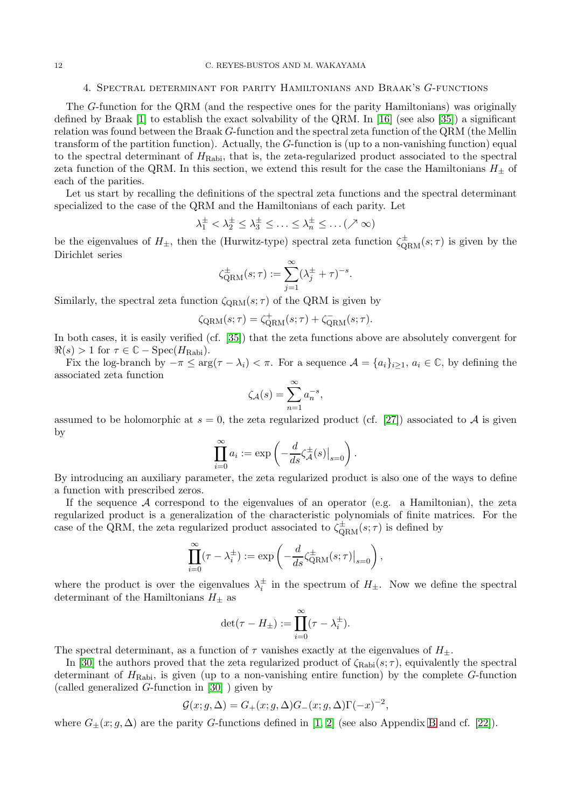#### <span id="page-11-0"></span>12 C. REYES-BUSTOS AND M. WAKAYAMA

#### 4. Spectral determinant for parity Hamiltonians and Braak's G-functions

The G-function for the QRM (and the respective ones for the parity Hamiltonians) was originally defined by Braak [\[1\]](#page-20-5) to establish the exact solvability of the QRM. In [\[16\]](#page-20-11) (see also [\[35\]](#page-21-6)) a significant relation was found between the Braak G-function and the spectral zeta function of the QRM (the Mellin transform of the partition function). Actually, the G-function is (up to a non-vanishing function) equal to the spectral determinant of  $H_{\text{Rabi}}$ , that is, the zeta-regularized product associated to the spectral zeta function of the QRM. In this section, we extend this result for the case the Hamiltonians  $H_{\pm}$  of each of the parities.

Let us start by recalling the definitions of the spectral zeta functions and the spectral determinant specialized to the case of the QRM and the Hamiltonians of each parity. Let

$$
\lambda_1^{\pm} < \lambda_2^{\pm} \leq \lambda_3^{\pm} \leq \ldots \leq \lambda_n^{\pm} \leq \ldots (\nearrow \infty)
$$

be the eigenvalues of  $H_{\pm}$ , then the (Hurwitz-type) spectral zeta function  $\zeta_{\rm QRM}^{\pm}(s;\tau)$  is given by the Dirichlet series

$$
\zeta_{\text{QRM}}^{\pm}(s;\tau) := \sum_{j=1}^{\infty} (\lambda_j^{\pm} + \tau)^{-s}.
$$

Similarly, the spectral zeta function  $\zeta_{\text{ORM}}(s; \tau)$  of the QRM is given by

$$
\zeta_{\text{QRM}}(s;\tau) = \zeta_{\text{QRM}}^{+}(s;\tau) + \zeta_{\text{QRM}}^{-}(s;\tau).
$$

In both cases, it is easily verified (cf. [\[35\]](#page-21-6)) that the zeta functions above are absolutely convergent for  $\Re(s) > 1$  for  $\tau \in \mathbb{C} - \text{Spec}(H_{\text{Rabi}})$ .

Fix the log-branch by  $-\pi \leq \arg(\tau - \lambda_i) < \pi$ . For a sequence  $\mathcal{A} = \{a_i\}_{i>1}$ ,  $a_i \in \mathbb{C}$ , by defining the associated zeta function

$$
\zeta_{\mathcal{A}}(s) = \sum_{n=1}^{\infty} a_n^{-s},
$$

assumed to be holomorphic at  $s = 0$ , the zeta regularized product (cf. [\[27\]](#page-21-5)) associated to A is given by

$$
\prod_{i=0}^{\infty} a_i := \exp\left(-\frac{d}{ds}\zeta_A^{\pm}(s)\big|_{s=0}\right).
$$

By introducing an auxiliary parameter, the zeta regularized product is also one of the ways to define a function with prescribed zeros.

If the sequence  $A$  correspond to the eigenvalues of an operator (e.g. a Hamiltonian), the zeta regularized product is a generalization of the characteristic polynomials of finite matrices. For the case of the QRM, the zeta regularized product associated to  $\zeta_{\text{QRM}}^{\pm}(s;\tau)$  is defined by

$$
\prod_{i=0}^{\infty} (\tau - \lambda_i^{\pm}) := \exp \left( -\frac{d}{ds} \zeta_{\text{QRM}}^{\pm}(s; \tau) \big|_{s=0} \right),
$$

where the product is over the eigenvalues  $\lambda_i^{\pm}$  in the spectrum of  $H_{\pm}$ . Now we define the spectral determinant of the Hamiltonians  $H_{\pm}$  as

$$
\det(\tau - H_{\pm}) := \prod_{i=0}^{\infty} (\tau - \lambda_i^{\pm}).
$$

The spectral determinant, as a function of  $\tau$  vanishes exactly at the eigenvalues of  $H_{\pm}$ .

In [\[30\]](#page-21-8) the authors proved that the zeta regularized product of  $\zeta_{\text{Rabi}}(s;\tau)$ , equivalently the spectral determinant of  $H_{\text{Rabi}}$ , is given (up to a non-vanishing entire function) by the complete G-function (called generalized G-function in [\[30\]](#page-21-8) ) given by

$$
\mathcal{G}(x; g, \Delta) = G_{+}(x; g, \Delta)G_{-}(x; g, \Delta)\Gamma(-x)^{-2},
$$

where  $G_{\pm}(x; g, \Delta)$  are the parity G-functions defined in [\[1,](#page-20-5) [2\]](#page-20-15) (see also Appendix [B](#page-17-0) and cf. [\[22\]](#page-20-16)).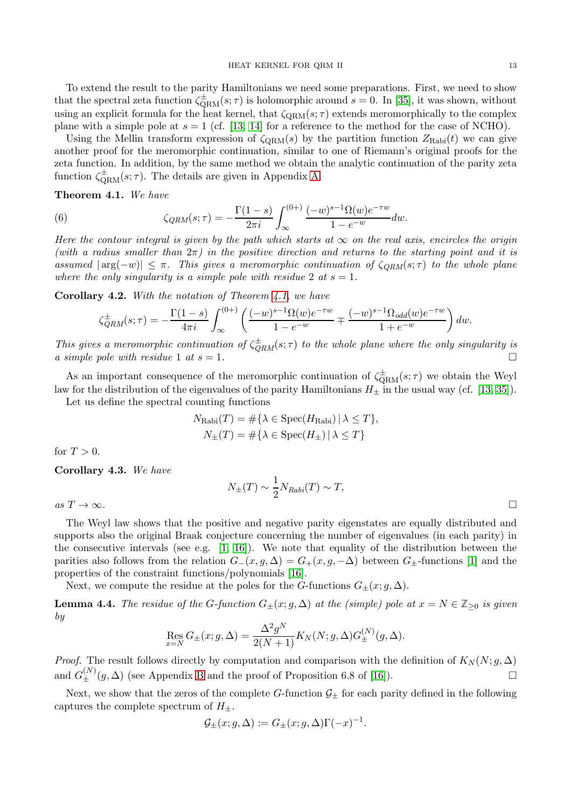To extend the result to the parity Hamiltonians we need some preparations. First, we need to show that the spectral zeta function  $\zeta_{\rm QRM}^{\pm}(s;\tau)$  is holomorphic around  $s=0$ . In [\[35\]](#page-21-6), it was shown, without using an explicit formula for the heat kernel, that  $\zeta_{\text{ORM}}(s; \tau)$  extends meromorphically to the complex plane with a simple pole at  $s = 1$  (cf. [\[13,](#page-20-17) [14\]](#page-20-18) for a reference to the method for the case of NCHO).

Using the Mellin transform expression of  $\zeta_{\rm QRM}(s)$  by the partition function  $Z_{\rm Rabi}(t)$  we can give another proof for the meromorphic continuation, similar to one of Riemann's original proofs for the zeta function. In addition, by the same method we obtain the analytic continuation of the parity zeta function  $\zeta_{\text{QRM}}^{\pm}(s;\tau)$ . The details are given in Appendix [A.](#page-13-0)

<span id="page-12-0"></span>Theorem 4.1. We have

<span id="page-12-2"></span>(6) 
$$
\zeta_{QRM}(s;\tau) = -\frac{\Gamma(1-s)}{2\pi i} \int_{\infty}^{(0+)} \frac{(-w)^{s-1} \Omega(w) e^{-\tau w}}{1 - e^{-w}} dw.
$$

Here the contour integral is given by the path which starts at  $\infty$  on the real axis, encircles the origin (with a radius smaller than  $2\pi$ ) in the positive direction and returns to the starting point and it is assumed  $|\arg(-w)| \leq \pi$ . This gives a meromorphic continuation of  $\zeta_{QRM}(s;\tau)$  to the whole plane where the only singularity is a simple pole with residue 2 at  $s = 1$ .

Corollary 4.2. With the notation of Theorem [4.1,](#page-12-0) we have

$$
\zeta_{QRM}^{\pm}(s;\tau) = -\frac{\Gamma(1-s)}{4\pi i} \int_{\infty}^{(0+)} \left( \frac{(-w)^{s-1} \Omega(w) e^{-\tau w}}{1 - e^{-w}} + \frac{(-w)^{s-1} \Omega_{odd}(w) e^{-\tau w}}{1 + e^{-w}} \right) dw.
$$

This gives a meromorphic continuation of  $\zeta_{\text{QRM}}^{\pm}(s;\tau)$  to the whole plane where the only singularity is a simple pole with residue 1 at  $s = 1$ .

As an important consequence of the meromorphic continuation of  $\zeta_{\rm QRM}^{\pm}(s;\tau)$  we obtain the Weyl law for the distribution of the eigenvalues of the parity Hamiltonians  $H_{\pm}$  in the usual way (cf. [\[13,](#page-20-17) [35\]](#page-21-6)). Let us define the spectral counting functions

$$
N_{\text{Rabi}}(T) = \#\{\lambda \in \text{Spec}(H_{\text{Rabi}}) \mid \lambda \le T\},\
$$
  

$$
N_{\pm}(T) = \#\{\lambda \in \text{Spec}(H_{\pm}) \mid \lambda \le T\}
$$

for  $T > 0$ .

Corollary 4.3. We have

 $N_{\pm}(T) \sim \frac{1}{2}$  $\frac{1}{2}N_{Rabi}(T) \sim T,$ 

as  $T \to \infty$ .

The Weyl law shows that the positive and negative parity eigenstates are equally distributed and supports also the original Braak conjecture concerning the number of eigenvalues (in each parity) in the consecutive intervals (see e.g. [\[1,](#page-20-5) [16\]](#page-20-11)). We note that equality of the distribution between the parities also follows from the relation  $G_{-}(x, g, \Delta) = G_{+}(x, g, -\Delta)$  between  $G_{+}$ -functions [\[1\]](#page-20-5) and the properties of the constraint functions/polynomials [\[16\]](#page-20-11).

Next, we compute the residue at the poles for the G-functions  $G_{\pm}(x; g, \Delta)$ .

<span id="page-12-1"></span>**Lemma 4.4.** The residue of the G-function  $G_{\pm}(x; g, \Delta)$  at the (simple) pole at  $x = N \in \mathbb{Z}_{\geq 0}$  is given by

Res<sub>x=N</sub> 
$$
G_{\pm}(x; g, \Delta) = \frac{\Delta^2 g^N}{2(N+1)} K_N(N; g, \Delta) G_{\pm}^{(N)}(g, \Delta).
$$

*Proof.* The result follows directly by computation and comparison with the definition of  $K_N(N; g, \Delta)$ and  $G_{\pm}^{(N)}(g,\Delta)$  (see Appendix [B](#page-17-0) and the proof of Proposition 6.8 of [\[16\]](#page-20-11)).

Next, we show that the zeros of the complete G-function  $\mathcal{G}_{\pm}$  for each parity defined in the following captures the complete spectrum of  $H_{\pm}$ .

$$
\mathcal{G}_{\pm}(x; g, \Delta) := G_{\pm}(x; g, \Delta) \Gamma(-x)^{-1}.
$$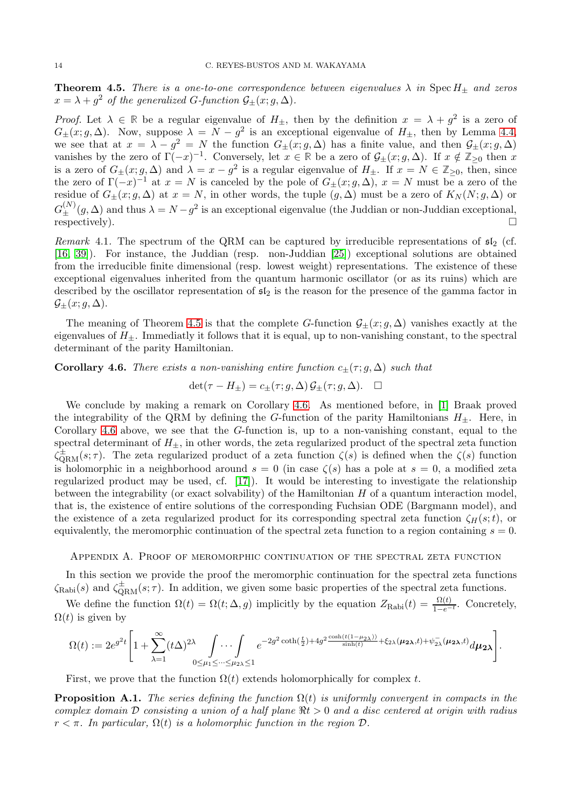<span id="page-13-1"></span>**Theorem 4.5.** There is a one-to-one correspondence between eigenvalues  $\lambda$  in Spec  $H_{\pm}$  and zeros  $x = \lambda + g^2$  of the generalized G-function  $\mathcal{G}_{\pm}(x; g, \Delta)$ .

Proof. Let  $\lambda \in \mathbb{R}$  be a regular eigenvalue of  $H_{\pm}$ , then by the definition  $x = \lambda + g^2$  is a zero of  $G_{\pm}(x; g, \Delta)$ . Now, suppose  $\lambda = N - g^2$  is an exceptional eigenvalue of  $H_{\pm}$ , then by Lemma [4.4,](#page-12-1) we see that at  $x = \lambda - g^2 = N$  the function  $G_{\pm}(x; g, \Delta)$  has a finite value, and then  $\mathcal{G}_{\pm}(x; g, \Delta)$ vanishes by the zero of  $\Gamma(-x)^{-1}$ . Conversely, let  $x \in \mathbb{R}$  be a zero of  $\mathcal{G}_{\pm}(x; g, \Delta)$ . If  $x \notin \mathbb{Z}_{\geq 0}$  then x is a zero of  $G_{\pm}(x; g, \Delta)$  and  $\lambda = x - g^2$  is a regular eigenvalue of  $H_{\pm}$ . If  $x = N \in \mathbb{Z}_{\geq 0}$ , then, since the zero of  $\Gamma(-x)^{-1}$  at  $x = N$  is canceled by the pole of  $G_{\pm}(x; g, \Delta)$ ,  $x = N$  must be a zero of the residue of  $G_{\pm}(x; g, \Delta)$  at  $x = N$ , in other words, the tuple  $(g, \Delta)$  must be a zero of  $K_N(N; g, \Delta)$  or  $G_{\pm}^{(N)}(g, \Delta)$  and thus  $\lambda = N - g^2$  is an exceptional eigenvalue (the Juddian or non-Juddian exceptional, respectively).  $\square$ 

Remark 4.1. The spectrum of the QRM can be captured by irreducible representations of  $\mathfrak{sl}_2$  (cf. [\[16,](#page-20-11) [39\]](#page-21-9)). For instance, the Juddian (resp. non-Juddian [\[25\]](#page-20-19)) exceptional solutions are obtained from the irreducible finite dimensional (resp. lowest weight) representations. The existence of these exceptional eigenvalues inherited from the quantum harmonic oscillator (or as its ruins) which are described by the oscillator representation of  $\mathfrak{sl}_2$  is the reason for the presence of the gamma factor in  $\mathcal{G}_{+}(x; g, \Delta).$ 

The meaning of Theorem [4.5](#page-13-1) is that the complete G-function  $\mathcal{G}_{\pm}(x; g, \Delta)$  vanishes exactly at the eigenvalues of  $H_{+}$ . Immediatly it follows that it is equal, up to non-vanishing constant, to the spectral determinant of the parity Hamiltonian.

<span id="page-13-2"></span>Corollary 4.6. There exists a non-vanishing entire function  $c_{\pm}(\tau; g, \Delta)$  such that

 $\det(\tau - H_+) = c_+(\tau; q, \Delta) \mathcal{G}_+(\tau; q, \Delta).$ 

We conclude by making a remark on Corollary [4.6.](#page-13-2) As mentioned before, in [\[1\]](#page-20-5) Braak proved the integrability of the QRM by defining the G-function of the parity Hamiltonians  $H_{\pm}$ . Here, in Corollary [4.6](#page-13-2) above, we see that the G-function is, up to a non-vanishing constant, equal to the spectral determinant of  $H_{\pm}$ , in other words, the zeta regularized product of the spectral zeta function  $\zeta_{\text{QRM}}^{\pm}(s;\tau)$ . The zeta regularized product of a zeta function  $\zeta(s)$  is defined when the  $\zeta(s)$  function is holomorphic in a neighborhood around  $s = 0$  (in case  $\zeta(s)$  has a pole at  $s = 0$ , a modified zeta regularized product may be used, cf. [\[17\]](#page-20-20)). It would be interesting to investigate the relationship between the integrability (or exact solvability) of the Hamiltonian  $H$  of a quantum interaction model, that is, the existence of entire solutions of the corresponding Fuchsian ODE (Bargmann model), and the existence of a zeta regularized product for its corresponding spectral zeta function  $\zeta_H(s;t)$ , or equivalently, the meromorphic continuation of the spectral zeta function to a region containing  $s = 0$ .

<span id="page-13-0"></span>Appendix A. Proof of meromorphic continuation of the spectral zeta function

In this section we provide the proof the meromorphic continuation for the spectral zeta functions  $\zeta_{\text{Rabi}}(s)$  and  $\zeta_{\text{QRM}}^{\pm}(s;\tau)$ . In addition, we given some basic properties of the spectral zeta functions.

We define the function  $\Omega(t) = \Omega(t; \Delta, g)$  implicitly by the equation  $Z_{\text{Rabi}}(t) = \frac{\Omega(t)}{1 - e^{-t}}$ . Concretely,  $\Omega(t)$  is given by

$$
\Omega(t):=2e^{g^2t}\Bigg[1+\sum_{\lambda=1}^{\infty}(t\Delta)^{2\lambda}\int\limits_{0\leq\mu_1\leq\cdots\leq\mu_{2\lambda}\leq 1}e^{-2g^2\coth(\frac{t}{2})+4g^2\frac{\cosh(t(1-\mu_{2\lambda}))}{\sinh(t)}+\xi_{2\lambda}(\mu_{2\lambda},t)+\psi_{2\lambda}^-(\mu_{2\lambda},t)}d\mu_{2\lambda}\Bigg].
$$

First, we prove that the function  $\Omega(t)$  extends holomorphically for complex t.

<span id="page-13-3"></span>**Proposition A.1.** The series defining the function  $\Omega(t)$  is uniformly convergent in compacts in the complex domain  $\mathcal D$  consisting a union of a half plane  $\Re t > 0$  and a disc centered at origin with radius  $r < \pi$ . In particular,  $\Omega(t)$  is a holomorphic function in the region  $\mathcal{D}$ .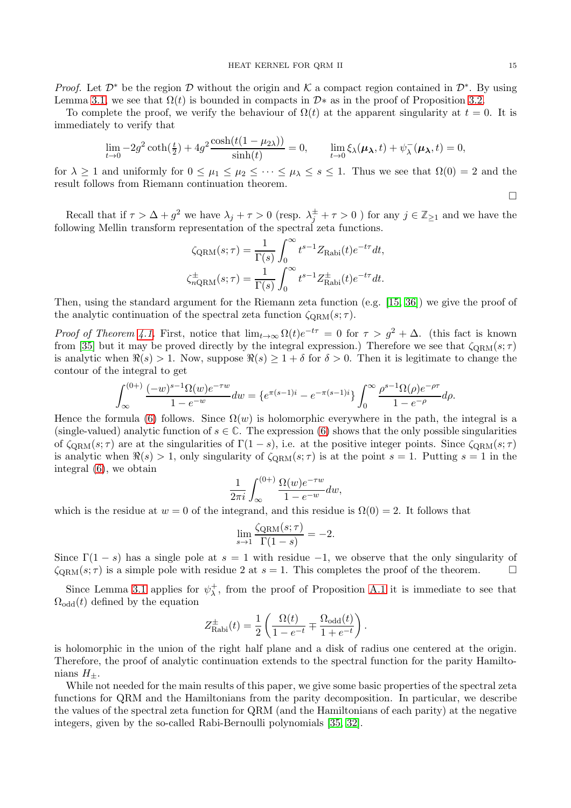*Proof.* Let  $\mathcal{D}^*$  be the region  $\mathcal D$  without the origin and K a compact region contained in  $\mathcal{D}^*$ . By using Lemma [3.1,](#page-8-0) we see that  $\Omega(t)$  is bounded in compacts in  $\mathcal{D}^*$  as in the proof of Proposition [3.2.](#page-9-0)

To complete the proof, we verify the behaviour of  $\Omega(t)$  at the apparent singularity at  $t = 0$ . It is immediately to verify that

$$
\lim_{t \to 0} -2g^2 \coth(\frac{t}{2}) + 4g^2 \frac{\cosh(t(1 - \mu_{2\lambda}))}{\sinh(t)} = 0, \qquad \lim_{t \to 0} \xi_{\lambda}(\mu_{\lambda}, t) + \psi_{\lambda}^-(\mu_{\lambda}, t) = 0,
$$

for  $\lambda \geq 1$  and uniformly for  $0 \leq \mu_1 \leq \mu_2 \leq \cdots \leq \mu_\lambda \leq s \leq 1$ . Thus we see that  $\Omega(0) = 2$  and the result follows from Riemann continuation theorem.

Recall that if  $\tau > \Delta + g^2$  we have  $\lambda_j + \tau > 0$  (resp.  $\lambda_j^{\pm} + \tau > 0$ ) for any  $j \in \mathbb{Z}_{\geq 1}$  and we have the following Mellin transform representation of the spectral zeta functions.

$$
\zeta_{\text{QRM}}(s;\tau) = \frac{1}{\Gamma(s)} \int_0^\infty t^{s-1} Z_{\text{Rabi}}(t) e^{-t\tau} dt,
$$
  

$$
\zeta_{n\text{QRM}}^{\pm}(s;\tau) = \frac{1}{\Gamma(s)} \int_0^\infty t^{s-1} Z_{\text{Rabi}}^{\pm}(t) e^{-t\tau} dt.
$$

Then, using the standard argument for the Riemann zeta function (e.g. [\[15,](#page-20-21) [36\]](#page-21-10)) we give the proof of the analytic continuation of the spectral zeta function  $\zeta_{\text{ORM}}(s; \tau)$ .

Proof of Theorem [4.1.](#page-12-0) First, notice that  $\lim_{t\to\infty} \Omega(t)e^{-t\tau} = 0$  for  $\tau > g^2 + \Delta$ . (this fact is known) from [\[35\]](#page-21-6) but it may be proved directly by the integral expression.) Therefore we see that  $\zeta_{\text{QRM}}(s;\tau)$ is analytic when  $\Re(s) > 1$ . Now, suppose  $\Re(s) \geq 1 + \delta$  for  $\delta > 0$ . Then it is legitimate to change the contour of the integral to get

$$
\int_{\infty}^{(0+)} \frac{(-w)^{s-1} \Omega(w) e^{-\tau w}}{1 - e^{-w}} dw = \left\{ e^{\pi (s-1)i} - e^{-\pi (s-1)i} \right\} \int_{0}^{\infty} \frac{\rho^{s-1} \Omega(\rho) e^{-\rho \tau}}{1 - e^{-\rho}} d\rho.
$$

Hence the formula [\(6\)](#page-12-2) follows. Since  $\Omega(w)$  is holomorphic everywhere in the path, the integral is a (single-valued) analytic function of  $s \in \mathbb{C}$ . The expression [\(6\)](#page-12-2) shows that the only possible singularities of  $\zeta_{\text{QRM}}(s;\tau)$  are at the singularities of  $\Gamma(1-s)$ , i.e. at the positive integer points. Since  $\zeta_{\text{QRM}}(s;\tau)$ is analytic when  $\Re(s) > 1$ , only singularity of  $\zeta_{\text{QRM}}(s; \tau)$  is at the point  $s = 1$ . Putting  $s = 1$  in the integral [\(6\)](#page-12-2), we obtain

$$
\frac{1}{2\pi i} \int_{\infty}^{(0+)} \frac{\Omega(w) e^{-\tau w}}{1 - e^{-w}} dw,
$$

which is the residue at  $w = 0$  of the integrand, and this residue is  $\Omega(0) = 2$ . It follows that

$$
\lim_{s \to 1} \frac{\zeta_{\text{QRM}}(s; \tau)}{\Gamma(1 - s)} = -2.
$$

Since  $\Gamma(1-s)$  has a single pole at  $s = 1$  with residue -1, we observe that the only singularity of  $\zeta_{\text{ORM}}(s;\tau)$  is a simple pole with residue 2 at  $s = 1$ . This completes the proof of the theorem.  $\zeta_{\text{ORM}}(s;\tau)$  is a simple pole with residue 2 at  $s=1$ . This completes the proof of the theorem.

Since Lemma [3.1](#page-8-0) applies for  $\psi_{\lambda}^{+}$  $\lambda^+$ , from the proof of Proposition [A.1](#page-13-3) it is immediate to see that  $\Omega_{\text{odd}}(t)$  defined by the equation

$$
Z_{\text{Rabi}}^{\pm}(t) = \frac{1}{2} \left( \frac{\Omega(t)}{1 - e^{-t}} \mp \frac{\Omega_{\text{odd}}(t)}{1 + e^{-t}} \right).
$$

is holomorphic in the union of the right half plane and a disk of radius one centered at the origin. Therefore, the proof of analytic continuation extends to the spectral function for the parity Hamiltonians  $H_{\pm}$ .

While not needed for the main results of this paper, we give some basic properties of the spectral zeta functions for QRM and the Hamiltonians from the parity decomposition. In particular, we describe the values of the spectral zeta function for QRM (and the Hamiltonians of each parity) at the negative integers, given by the so-called Rabi-Bernoulli polynomials [\[35,](#page-21-6) [32\]](#page-21-11).

 $\Box$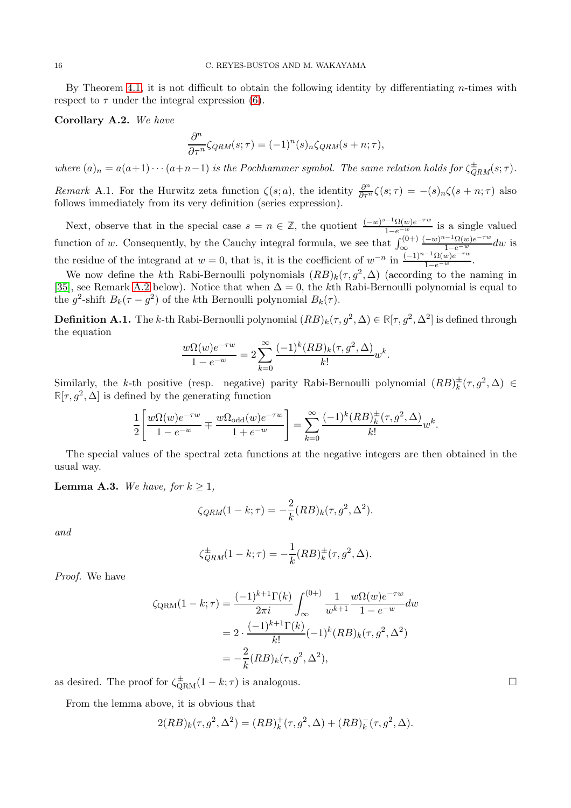By Theorem [4.1,](#page-12-0) it is not difficult to obtain the following identity by differentiating  $n$ -times with respect to  $\tau$  under the integral expression [\(6\)](#page-12-2).

<span id="page-15-1"></span>Corollary A.2. We have

$$
\frac{\partial^n}{\partial \tau^n} \zeta_{QRM}(s;\tau) = (-1)^n (s)_n \zeta_{QRM}(s+n;\tau),
$$

where  $(a)_n = a(a+1)\cdots(a+n-1)$  is the Pochhammer symbol. The same relation holds for  $\zeta_{RRM}^{\pm}(s;\tau)$ .

Remark A.1. For the Hurwitz zeta function  $\zeta(s; a)$ , the identity  $\frac{\partial^n}{\partial \tau^n} \zeta(s; \tau) = -(s)_n \zeta(s+n; \tau)$  also follows immediately from its very definition (series expression).

Next, observe that in the special case  $s = n \in \mathbb{Z}$ , the quotient  $\frac{(-w)^{s-1} \Omega(w) e^{-\tau w}}{1-e^{-w}}$  is a single valued function of w. Consequently, by the Cauchy integral formula, we see that  $\int_{\infty}^{(0+)}$  $\frac{(-w)^{n-1} \Omega(w) e^{-\tau w}}{1-e^{-w}} dw$  is the residue of the integrand at  $w = 0$ , that is, it is the coefficient of  $w^{-n}$  in  $\frac{(-1)^{n-1}\Omega(w)e^{-\tau w}}{1-e^{-w}}$ .

We now define the k<sup>th</sup> Rabi-Bernoulli polynomials  $(RB)_k(\tau, g^2, \Delta)$  (according to the naming in [\[35\]](#page-21-6), see Remark [A.2](#page-16-0) below). Notice that when  $\Delta = 0$ , the kth Rabi-Bernoulli polynomial is equal to the  $g^2$ -shift  $B_k(\tau - g^2)$  of the kth Bernoulli polynomial  $B_k(\tau)$ .

<span id="page-15-2"></span>**Definition A.1.** The k-th Rabi-Bernoulli polynomial  $(RB)_k(\tau, g^2, \Delta) \in \mathbb{R}[\tau, g^2, \Delta^2]$  is defined through the equation

$$
\frac{w\Omega(w)e^{-\tau w}}{1-e^{-w}} = 2\sum_{k=0}^{\infty} \frac{(-1)^k (RB)_k(\tau, g^2, \Delta)}{k!} w^k.
$$

Similarly, the k-th positive (resp. negative) parity Rabi-Bernoulli polynomial  $(RB)_{k}^{\pm}(\tau, g^2, \Delta) \in$  $\mathbb{R}[\tau, g^2, \Delta]$  is defined by the generating function

$$
\frac{1}{2} \left[ \frac{w\Omega(w)e^{-\tau w}}{1 - e^{-w}} \mp \frac{w\Omega_{\text{odd}}(w)e^{-\tau w}}{1 + e^{-w}} \right] = \sum_{k=0}^{\infty} \frac{(-1)^k (RB)_k^{\pm}(\tau, g^2, \Delta)}{k!} w^k.
$$

The special values of the spectral zeta functions at the negative integers are then obtained in the usual way.

<span id="page-15-0"></span>**Lemma A.3.** We have, for  $k \geq 1$ ,

$$
\zeta_{QRM}(1-k;\tau) = -\frac{2}{k}(RB)_k(\tau,g^2,\Delta^2).
$$

and

$$
\zeta_{QRM}^{\pm}(1-k;\tau) = -\frac{1}{k}(RB)_{k}^{\pm}(\tau,g^2,\Delta).
$$

Proof. We have

$$
\zeta_{\text{QRM}}(1-k;\tau) = \frac{(-1)^{k+1}\Gamma(k)}{2\pi i} \int_{\infty}^{(0+)} \frac{1}{w^{k+1}} \frac{w\Omega(w)e^{-\tau w}}{1-e^{-w}} dw
$$
  
=  $2 \cdot \frac{(-1)^{k+1}\Gamma(k)}{k!} (-1)^k (RB)_k(\tau, g^2, \Delta^2)$   
=  $-\frac{2}{k} (RB)_k(\tau, g^2, \Delta^2),$ 

as desired. The proof for  $\zeta_{\rm QRM}^{\pm}(1-k;\tau)$  is analogous.

From the lemma above, it is obvious that

$$
2(RB)_k(\tau, g^2, \Delta^2) = (RB)_k^+(\tau, g^2, \Delta) + (RB)_k^-(\tau, g^2, \Delta).
$$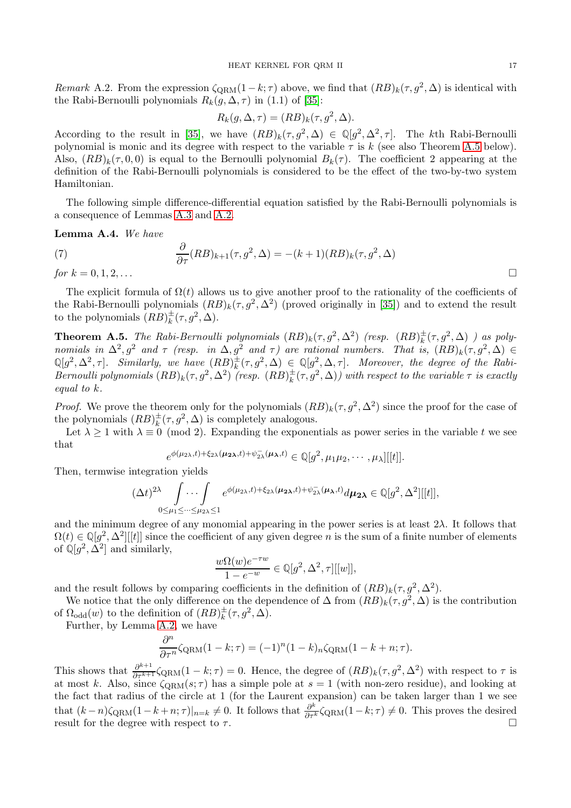<span id="page-16-0"></span>Remark A.2. From the expression  $\zeta_{\text{QRM}}(1-k;\tau)$  above, we find that  $(RB)_k(\tau, g^2, \Delta)$  is identical with the Rabi-Bernoulli polynomials  $R_k(q, \Delta, \tau)$  in (1.1) of [\[35\]](#page-21-6):

$$
R_k(g, \Delta, \tau) = (RB)_k(\tau, g^2, \Delta).
$$

According to the result in [\[35\]](#page-21-6), we have  $(RB)_k(\tau, g^2, \Delta) \in \mathbb{Q}[g^2, \Delta^2, \tau]$ . The kth Rabi-Bernoulli polynomial is monic and its degree with respect to the variable  $\tau$  is k (see also Theorem [A.5](#page-16-1) below). Also,  $(RB)_k(\tau, 0, 0)$  is equal to the Bernoulli polynomial  $B_k(\tau)$ . The coefficient 2 appearing at the definition of the Rabi-Bernoulli polynomials is considered to be the effect of the two-by-two system Hamiltonian.

The following simple difference-differential equation satisfied by the Rabi-Bernoulli polynomials is a consequence of Lemmas [A.3](#page-15-0) and [A.2.](#page-15-1)

Lemma A.4. We have

<span id="page-16-2"></span>(7) 
$$
\frac{\partial}{\partial \tau}(RB)_{k+1}(\tau, g^2, \Delta) = -(k+1)(RB)_k(\tau, g^2, \Delta)
$$
  
for  $k = 0, 1, 2, ...$ 

The explicit formula of  $\Omega(t)$  allows us to give another proof to the rationality of the coefficients of the Rabi-Bernoulli polynomials  $(RB)_k(\tau, g^2, \Delta^2)$  (proved originally in [\[35\]](#page-21-6)) and to extend the result to the polynomials  $(RB)_k^{\pm}(\tau, g^2, \Delta)$ .

<span id="page-16-1"></span>**Theorem A.5.** The Rabi-Bernoulli polynomials  $(RB)_k(\tau, g^2, \Delta^2)$  (resp.  $(RB)_k^{\pm}(\tau, g^2, \Delta)$  ) as poly-**Theorem A.S.** The naol-Derhouth polyhomials  $(nD)_k(1, g), \Delta$  (resp.  $(nD)_k(1, g), \Delta$ ) as poly-<br>nomials in  $\Delta^2, g^2$  and  $\tau$  (resp. in  $\Delta, g^2$  and  $\tau$ ) are rational numbers. That is,  $(RB)_k(\tau, g^2, \Delta) \in$  $\mathbb{Q}[g^2, \Delta^2, \tau]$ . Similarly, we have  $(RB)_{k}^{\pm}(\tau, g^2, \Delta) \in \mathbb{Q}[g^2, \Delta, \tau]$ . Moreover, the degree of the Rabi-Bernoulli polynomials  $(RB)_k(\tau, g^2, \Delta^2)$  (resp.  $(RB)_k^{\pm}(\tau, g^2, \Delta)$ ) with respect to the variable  $\tau$  is exactly equal to k.

*Proof.* We prove the theorem only for the polynomials  $(RB)_k(\tau, g^2, \Delta^2)$  since the proof for the case of the polynomials  $(RB)_k^{\pm}(\tau, g^2, \Delta)$  is completely analogous.

Let  $\lambda \geq 1$  with  $\lambda \equiv 0 \pmod{2}$ . Expanding the exponentials as power series in the variable t we see that

$$
e^{\phi(\mu_{2\lambda},t)+\xi_{2\lambda}(\mu_{2\lambda},t)+\psi_{2\lambda}^-(\mu_{\lambda},t)} \in \mathbb{Q}[g^2,\mu_1\mu_2,\cdots,\mu_{\lambda}][[t]].
$$

Then, termwise integration yields

$$
(\Delta t)^{2\lambda} \int \ldots \int e^{\phi(\mu_{2\lambda},t) + \xi_{2\lambda}(\mu_{2\lambda},t) + \psi_{2\lambda}^-(\mu_{\lambda},t)} d\mu_{2\lambda} \in \mathbb{Q}[g^2, \Delta^2][[t]],
$$
  

$$
0 \le \mu_1 \le \ldots \le \mu_{2\lambda} \le 1
$$

and the minimum degree of any monomial appearing in the power series is at least  $2\lambda$ . It follows that  $\Omega(t) \in \mathbb{Q}[g^2, \Delta^2][[t]]$  since the coefficient of any given degree n is the sum of a finite number of elements of  $\mathbb{Q}[g^2, \Delta^2]$  and similarly,

$$
\frac{w\Omega(w)e^{-\tau w}}{1-e^{-w}} \in \mathbb{Q}[g^2, \Delta^2, \tau][[w]],
$$

and the result follows by comparing coefficients in the definition of  $(RB)_k(\tau, g^2, \Delta^2)$ .

We notice that the only difference on the dependence of  $\Delta$  from  $(RB)_k(\tau, g^2, \Delta)$  is the contribution of  $\Omega_{odd}(w)$  to the definition of  $(RB)_{k}^{\pm}(\tau, g^2, \Delta)$ .

Further, by Lemma [A.2,](#page-15-1) we have

$$
\frac{\partial^n}{\partial \tau^n} \zeta_{\text{QRM}} (1 - k; \tau) = (-1)^n (1 - k)_n \zeta_{\text{QRM}} (1 - k + n; \tau).
$$

This shows that  $\frac{\partial^{k+1}}{\partial \tau^{k+1}}\zeta_{\text{QRM}}(1-k;\tau)=0$ . Hence, the degree of  $(RB)_k(\tau,g^2,\Delta^2)$  with respect to  $\tau$  is at most k. Also, since  $\zeta_{\text{QRM}}(s;\tau)$  has a simple pole at  $s=1$  (with non-zero residue), and looking at the fact that radius of the circle at 1 (for the Laurent expansion) can be taken larger than 1 we see that  $(k-n)\zeta_{\text{QRM}}(1-k+n;\tau)|_{n=k}\neq 0$ . It follows that  $\frac{\partial^k}{\partial \tau^k}\zeta_{\text{QRM}}(1-k;\tau)\neq 0$ . This proves the desired result for the degree with respect to  $\tau$ .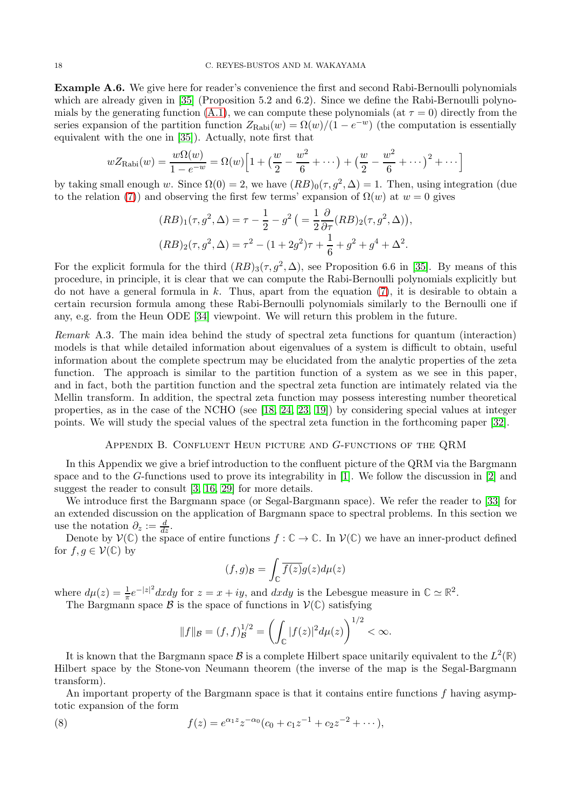Example A.6. We give here for reader's convenience the first and second Rabi-Bernoulli polynomials which are already given in [\[35\]](#page-21-6) (Proposition 5.2 and 6.2). Since we define the Rabi-Bernoulli polynomials by the generating function  $(A.1)$ , we can compute these polynomials (at  $\tau = 0$ ) directly from the series expansion of the partition function  $Z_{\text{Rabi}}(w) = \Omega(w)/(1 - e^{-w})$  (the computation is essentially equivalent with the one in [\[35\]](#page-21-6)). Actually, note first that

$$
wZ_{\text{Rabi}}(w) = \frac{w\Omega(w)}{1 - e^{-w}} = \Omega(w)\left[1 + \left(\frac{w}{2} - \frac{w^2}{6} + \dots\right) + \left(\frac{w}{2} - \frac{w^2}{6} + \dots\right)^2 + \dots\right]
$$

by taking small enough w. Since  $\Omega(0) = 2$ , we have  $(RB)_0(\tau, g^2, \Delta) = 1$ . Then, using integration (due to the relation [\(7\)](#page-16-2)) and observing the first few terms' expansion of  $\Omega(w)$  at  $w = 0$  gives

$$
(RB)_1(\tau, g^2, \Delta) = \tau - \frac{1}{2} - g^2 \left( = \frac{1}{2} \frac{\partial}{\partial \tau} (RB)_2(\tau, g^2, \Delta) \right),
$$
  

$$
(RB)_2(\tau, g^2, \Delta) = \tau^2 - (1 + 2g^2)\tau + \frac{1}{6} + g^2 + g^4 + \Delta^2.
$$

For the explicit formula for the third  $(RB)_3(\tau, g^2, \Delta)$ , see Proposition 6.6 in [\[35\]](#page-21-6). By means of this procedure, in principle, it is clear that we can compute the Rabi-Bernoulli polynomials explicitly but do not have a general formula in  $k$ . Thus, apart from the equation [\(7\)](#page-16-2), it is desirable to obtain a certain recursion formula among these Rabi-Bernoulli polynomials similarly to the Bernoulli one if any, e.g. from the Heun ODE [\[34\]](#page-21-12) viewpoint. We will return this problem in the future.

Remark A.3. The main idea behind the study of spectral zeta functions for quantum (interaction) models is that while detailed information about eigenvalues of a system is difficult to obtain, useful information about the complete spectrum may be elucidated from the analytic properties of the zeta function. The approach is similar to the partition function of a system as we see in this paper, and in fact, both the partition function and the spectral zeta function are intimately related via the Mellin transform. In addition, the spectral zeta function may possess interesting number theoretical properties, as in the case of the NCHO (see [\[18,](#page-20-22) [24,](#page-20-23) [23,](#page-20-24) [19\]](#page-20-25)) by considering special values at integer points. We will study the special values of the spectral zeta function in the forthcoming paper [\[32\]](#page-21-11).

# Appendix B. Confluent Heun picture and G-functions of the QRM

<span id="page-17-0"></span>In this Appendix we give a brief introduction to the confluent picture of the QRM via the Bargmann space and to the G-functions used to prove its integrability in [\[1\]](#page-20-5). We follow the discussion in [\[2\]](#page-20-15) and suggest the reader to consult [\[3,](#page-20-26) [16,](#page-20-11) [29\]](#page-21-13) for more details.

We introduce first the Bargmann space (or Segal-Bargmann space). We refer the reader to [\[33\]](#page-21-14) for an extended discussion on the application of Bargmann space to spectral problems. In this section we use the notation  $\partial_z := \frac{d}{dz}$ .

Denote by  $V(\mathbb{C})$  the space of entire functions  $f : \mathbb{C} \to \mathbb{C}$ . In  $V(\mathbb{C})$  we have an inner-product defined for  $f, g \in \mathcal{V}(\mathbb{C})$  by

$$
(f,g)_{\mathcal{B}} = \int_{\mathbb{C}} \overline{f(z)}g(z)d\mu(z)
$$

where  $d\mu(z) = \frac{1}{\pi}e^{-|z|^2}dxdy$  for  $z = x + iy$ , and  $dxdy$  is the Lebesgue measure in  $\mathbb{C} \simeq \mathbb{R}^2$ .

The Bargmann space  $\mathcal{B}$  is the space of functions in  $\mathcal{V}(\mathbb{C})$  satisfying

<span id="page-17-1"></span>
$$
||f||_{\mathcal{B}} = (f, f)_{\mathcal{B}}^{1/2} = \left(\int_{\mathbb{C}} |f(z)|^2 d\mu(z)\right)^{1/2} < \infty.
$$

It is known that the Bargmann space  $\mathcal{B}$  is a complete Hilbert space unitarily equivalent to the  $L^2(\mathbb{R})$ Hilbert space by the Stone-von Neumann theorem (the inverse of the map is the Segal-Bargmann transform).

An important property of the Bargmann space is that it contains entire functions f having asymptotic expansion of the form

(8) 
$$
f(z) = e^{\alpha_1 z} z^{-\alpha_0} (c_0 + c_1 z^{-1} + c_2 z^{-2} + \cdots),
$$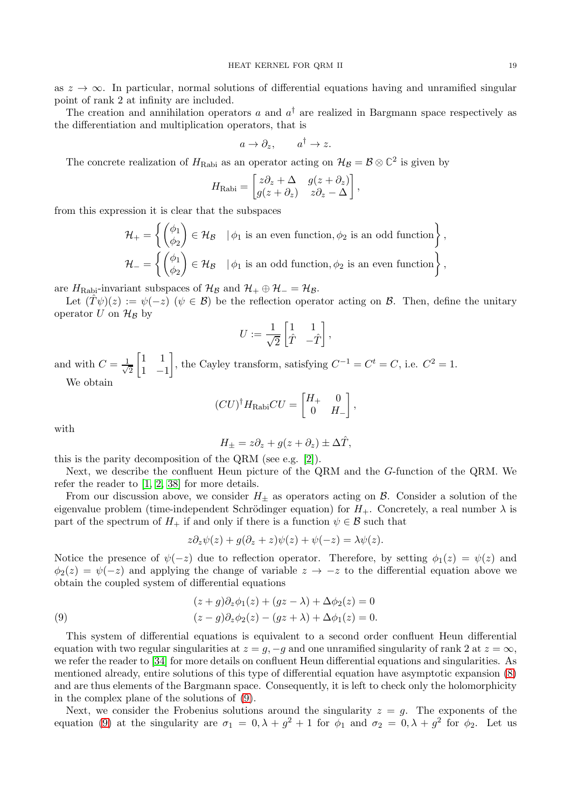The creation and annihilation operators  $a$  and  $a^{\dagger}$  are realized in Bargmann space respectively as the differentiation and multiplication operators, that is

$$
a \to \partial_z, \qquad a^\dagger \to z.
$$

The concrete realization of  $H_{\text{Rabi}}$  as an operator acting on  $\mathcal{H}_{\mathcal{B}} = \mathcal{B} \otimes \mathbb{C}^2$  is given by

$$
H_{\text{Rabi}} = \begin{bmatrix} z\partial_z + \Delta & g(z + \partial_z) \\ g(z + \partial_z) & z\partial_z - \Delta \end{bmatrix},
$$

from this expression it is clear that the subspaces

 $\mathcal{H}_+ =$  $\int (\phi_1$  $\phi_2$  $\Big\} \in \mathcal{H}_{\mathcal{B}}$   $\big| \phi_1$  is an even function,  $\phi_2$  is an odd function  $\Big\}$ ,  $\mathcal{H}_-$  =  $\int (\phi_1$  $\phi_2$  $\Big\} \in \mathcal{H}_{\mathcal{B}}$   $\big| \phi_1$  is an odd function,  $\phi_2$  is an even function  $\Big\}$ ,

are  $H_{\text{Rabi}}$ -invariant subspaces of  $\mathcal{H}_{\mathcal{B}}$  and  $\mathcal{H}_{+} \oplus \mathcal{H}_{-} = \mathcal{H}_{\mathcal{B}}$ .

Let  $(\hat{T}\psi)(z) := \psi(-z)$   $(\psi \in \mathcal{B})$  be the reflection operator acting on  $\mathcal{B}$ . Then, define the unitary operator U on  $\mathcal{H}_\mathcal{B}$  by

$$
U := \frac{1}{\sqrt{2}} \begin{bmatrix} 1 & 1 \\ \hat{T} & -\hat{T} \end{bmatrix},
$$

and with  $C = \frac{1}{\sqrt{2}}$ 2  $\begin{bmatrix} 1 & 1 \end{bmatrix}$  $1 -1$ 1 , the Cayley transform, satisfying  $C^{-1} = C^t = C$ , i.e.  $C^2 = 1$ . We obtain

$$
(CU)^{\dagger}H_{\text{Rabi}}CU = \begin{bmatrix} H_+ & 0 \\ 0 & H_- \end{bmatrix},
$$

with

$$
H_{\pm} = z\partial_z + g(z + \partial_z) \pm \Delta \hat{T},
$$

this is the parity decomposition of the QRM (see e.g. [\[2\]](#page-20-15)).

Next, we describe the confluent Heun picture of the QRM and the G-function of the QRM. We refer the reader to [\[1,](#page-20-5) [2,](#page-20-15) [38\]](#page-21-15) for more details.

From our discussion above, we consider  $H_{\pm}$  as operators acting on  $\beta$ . Consider a solution of the eigenvalue problem (time-independent Schrödinger equation) for  $H_{+}$ . Concretely, a real number  $\lambda$  is part of the spectrum of  $H_+$  if and only if there is a function  $\psi \in \mathcal{B}$  such that

$$
z\partial_z\psi(z)+g(\partial_z+z)\psi(z)+\psi(-z)=\lambda\psi(z).
$$

Notice the presence of  $\psi(-z)$  due to reflection operator. Therefore, by setting  $\phi_1(z) = \psi(z)$  and  $\phi_2(z) = \psi(-z)$  and applying the change of variable  $z \to -z$  to the differential equation above we obtain the coupled system of differential equations

<span id="page-18-0"></span>(9) 
$$
(z+g)\partial_z \phi_1(z) + (gz-\lambda) + \Delta \phi_2(z) = 0
$$

$$
(z-g)\partial_z \phi_2(z) - (gz+\lambda) + \Delta \phi_1(z) = 0.
$$

This system of differential equations is equivalent to a second order confluent Heun differential equation with two regular singularities at  $z = q, -q$  and one unramified singularity of rank 2 at  $z = \infty$ , we refer the reader to [\[34\]](#page-21-12) for more details on confluent Heun differential equations and singularities. As mentioned already, entire solutions of this type of differential equation have asymptotic expansion [\(8\)](#page-17-1) and are thus elements of the Bargmann space. Consequently, it is left to check only the holomorphicity in the complex plane of the solutions of [\(9\)](#page-18-0).

Next, we consider the Frobenius solutions around the singularity  $z = q$ . The exponents of the equation [\(9\)](#page-18-0) at the singularity are  $\sigma_1 = 0, \lambda + g^2 + 1$  for  $\phi_1$  and  $\sigma_2 = 0, \lambda + g^2$  for  $\phi_2$ . Let us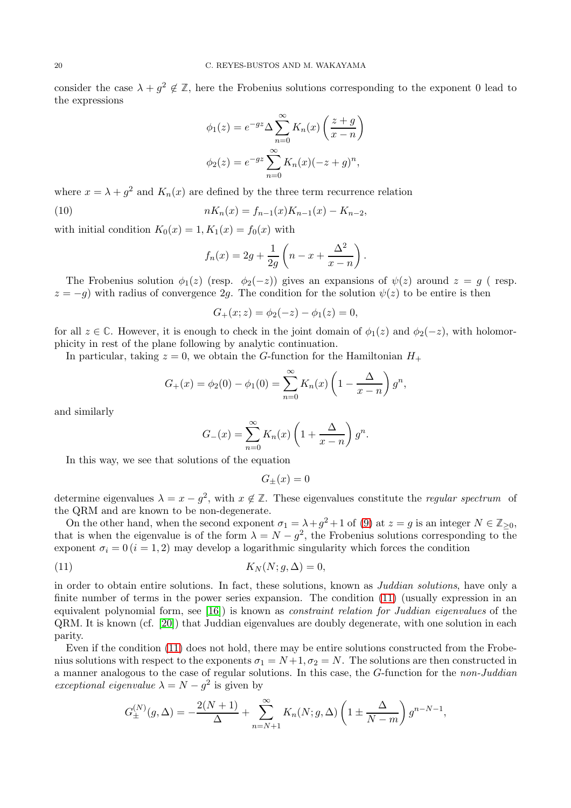consider the case  $\lambda + g^2 \notin \mathbb{Z}$ , here the Frobenius solutions corresponding to the exponent 0 lead to the expressions

$$
\phi_1(z) = e^{-gz} \Delta \sum_{n=0}^{\infty} K_n(x) \left( \frac{z+g}{x-n} \right)
$$

$$
\phi_2(z) = e^{-gz} \sum_{n=0}^{\infty} K_n(x) (-z+g)^n,
$$

where  $x = \lambda + g^2$  and  $K_n(x)$  are defined by the three term recurrence relation

(10) 
$$
nK_n(x) = f_{n-1}(x)K_{n-1}(x) - K_{n-2},
$$

with initial condition  $K_0(x) = 1, K_1(x) = f_0(x)$  with

<span id="page-19-1"></span>
$$
f_n(x) = 2g + \frac{1}{2g} \left( n - x + \frac{\Delta^2}{x - n} \right).
$$

The Frobenius solution  $\phi_1(z)$  (resp.  $\phi_2(-z)$ ) gives an expansions of  $\psi(z)$  around  $z = g$  (resp.  $z = -g$ ) with radius of convergence 2g. The condition for the solution  $\psi(z)$  to be entire is then

$$
G_{+}(x; z) = \phi_{2}(-z) - \phi_{1}(z) = 0,
$$

for all  $z \in \mathbb{C}$ . However, it is enough to check in the joint domain of  $\phi_1(z)$  and  $\phi_2(-z)$ , with holomorphicity in rest of the plane following by analytic continuation.

In particular, taking  $z = 0$ , we obtain the G-function for the Hamiltonian  $H_+$ 

$$
G_{+}(x) = \phi_{2}(0) - \phi_{1}(0) = \sum_{n=0}^{\infty} K_{n}(x) \left(1 - \frac{\Delta}{x - n}\right) g^{n},
$$

and similarly

$$
G_{-}(x) = \sum_{n=0}^{\infty} K_n(x) \left( 1 + \frac{\Delta}{x - n} \right) g^n.
$$

In this way, we see that solutions of the equation

$$
G_{\pm}(x) = 0
$$

determine eigenvalues  $\lambda = x - g^2$ , with  $x \notin \mathbb{Z}$ . These eigenvalues constitute the *regular spectrum* of the QRM and are known to be non-degenerate.

On the other hand, when the second exponent  $\sigma_1 = \lambda + g^2 + 1$  of [\(9\)](#page-18-0) at  $z = g$  is an integer  $N \in \mathbb{Z}_{\geq 0}$ , that is when the eigenvalue is of the form  $\lambda = N - g^2$ , the Frobenius solutions corresponding to the exponent  $\sigma_i = 0$  (i = 1, 2) may develop a logarithmic singularity which forces the condition

<span id="page-19-0"></span>
$$
(11) \t K_N(N; g, \Delta) = 0,
$$

in order to obtain entire solutions. In fact, these solutions, known as Juddian solutions, have only a finite number of terms in the power series expansion. The condition [\(11\)](#page-19-0) (usually expression in an equivalent polynomial form, see  $[16]$ ) is known as *constraint relation for Juddian eigenvalues* of the QRM. It is known (cf. [\[20\]](#page-20-27)) that Juddian eigenvalues are doubly degenerate, with one solution in each parity.

Even if the condition [\(11\)](#page-19-0) does not hold, there may be entire solutions constructed from the Frobenius solutions with respect to the exponents  $\sigma_1 = N+1, \sigma_2 = N$ . The solutions are then constructed in a manner analogous to the case of regular solutions. In this case, the G-function for the non-Juddian exceptional eigenvalue  $\lambda = N - g^2$  is given by

$$
G_{\pm}^{(N)}(g,\Delta) = -\frac{2(N+1)}{\Delta} + \sum_{n=N+1}^{\infty} K_n(N;g,\Delta) \left(1 \pm \frac{\Delta}{N-m}\right) g^{n-N-1},
$$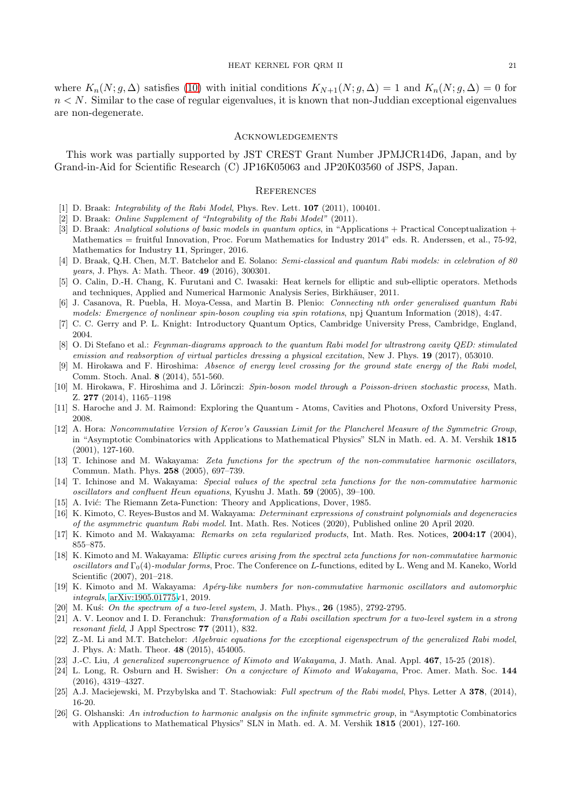where  $K_n(N; g, \Delta)$  satisfies [\(10\)](#page-19-1) with initial conditions  $K_{N+1}(N; g, \Delta) = 1$  and  $K_n(N; g, \Delta) = 0$  for  $n < N$ . Similar to the case of regular eigenvalues, it is known that non-Juddian exceptional eigenvalues are non-degenerate.

#### <span id="page-20-0"></span>**ACKNOWLEDGEMENTS**

This work was partially supported by JST CREST Grant Number JPMJCR14D6, Japan, and by Grand-in-Aid for Scientific Research (C) JP16K05063 and JP20K03560 of JSPS, Japan.

### <span id="page-20-1"></span>**REFERENCES**

- <span id="page-20-15"></span><span id="page-20-5"></span>[1] D. Braak: *Integrability of the Rabi Model*, Phys. Rev. Lett. **107** (2011), 100401.
- <span id="page-20-26"></span>[2] D. Braak: Online Supplement of "Integrability of the Rabi Model" (2011).
- [3] D. Braak: Analytical solutions of basic models in quantum optics, in "Applications + Practical Conceptualization + Mathematics = fruitful Innovation, Proc. Forum Mathematics for Industry 2014" eds. R. Anderssen, et al., 75-92, Mathematics for Industry 11, Springer, 2016.
- <span id="page-20-4"></span>[4] D. Braak, Q.H. Chen, M.T. Batchelor and E. Solano: Semi-classical and quantum Rabi models: in celebration of 80 years, J. Phys. A: Math. Theor. 49 (2016), 300301.
- <span id="page-20-12"></span><span id="page-20-9"></span>[5] O. Calin, D.-H. Chang, K. Furutani and C. Iwasaki: Heat kernels for elliptic and sub-elliptic operators. Methods and techniques, Applied and Numerical Harmonic Analysis Series, Birkhäuser, 2011.
- [6] J. Casanova, R. Puebla, H. Moya-Cessa, and Martin B. Plenio: Connecting nth order generalised quantum Rabi models: Emergence of nonlinear spin-boson coupling via spin rotations, npj Quantum Information (2018), 4:47.
- <span id="page-20-10"></span><span id="page-20-3"></span>[7] C. C. Gerry and P. L. Knight: Introductory Quantum Optics, Cambridge University Press, Cambridge, England, 2004.
- [8] O. Di Stefano et al.: Feynman-diagrams approach to the quantum Rabi model for ultrastrong cavity OED: stimulated emission and reabsorption of virtual particles dressing a physical excitation, New J. Phys. 19 (2017), 053010.
- <span id="page-20-6"></span>[9] M. Hirokawa and F. Hiroshima: Absence of energy level crossing for the ground state energy of the Rabi model, Comm. Stoch. Anal. 8 (2014), 551-560.
- <span id="page-20-7"></span>[10] M. Hirokawa, F. Hiroshima and J. Lőrinczi: Spin-boson model through a Poisson-driven stochastic process, Math. Z. 277 (2014), 1165–1198
- <span id="page-20-14"></span><span id="page-20-2"></span>[11] S. Haroche and J. M. Raimond: Exploring the Quantum - Atoms, Cavities and Photons, Oxford University Press, 2008.
- [12] A. Hora: Noncommutative Version of Kerov's Gaussian Limit for the Plancherel Measure of the Symmetric Group, in "Asymptotic Combinatorics with Applications to Mathematical Physics" SLN in Math. ed. A. M. Vershik 1815 (2001), 127-160.
- <span id="page-20-17"></span>[13] T. Ichinose and M. Wakayama: Zeta functions for the spectrum of the non-commutative harmonic oscillators, Commun. Math. Phys. 258 (2005), 697–739.
- <span id="page-20-18"></span>[14] T. Ichinose and M. Wakayama: Special values of the spectral zeta functions for the non-commutative harmonic oscillators and confluent Heun equations, Kyushu J. Math. 59 (2005), 39–100.
- <span id="page-20-21"></span><span id="page-20-11"></span>[15] A. Ivić: The Riemann Zeta-Function: Theory and Applications, Dover, 1985.
- [16] K. Kimoto, C. Reyes-Bustos and M. Wakayama: Determinant expressions of constraint polynomials and degeneracies of the asymmetric quantum Rabi model. Int. Math. Res. Notices (2020), Published online 20 April 2020.
- <span id="page-20-22"></span><span id="page-20-20"></span>[17] K. Kimoto and M. Wakayama: Remarks on zeta regularized products, Int. Math. Res. Notices, 2004:17 (2004), 855–875.
- [18] K. Kimoto and M. Wakayama: Elliptic curves arising from the spectral zeta functions for non-commutative harmonic oscillators and  $\Gamma_0(4)$ -modular forms, Proc. The Conference on L-functions, edited by L. Weng and M. Kaneko, World Scientific (2007), 201–218.
- <span id="page-20-25"></span>[19] K. Kimoto and M. Wakayama: Ap´ery-like numbers for non-commutative harmonic oscillators and automorphic integrals, [arXiv:1905.01775v](http://arxiv.org/abs/1905.01775)1, 2019.
- <span id="page-20-27"></span><span id="page-20-8"></span>[20] M. Kuś: On the spectrum of a two-level system, J. Math. Phys.,  $26$  (1985), 2792-2795.
- [21] A. V. Leonov and I. D. Feranchuk: Transformation of a Rabi oscillation spectrum for a two-level system in a strong resonant field, J Appl Spectrosc 77 (2011), 832.
- <span id="page-20-16"></span>[22] Z.-M. Li and M.T. Batchelor: Algebraic equations for the exceptional eigenspectrum of the generalized Rabi model, J. Phys. A: Math. Theor. 48 (2015), 454005.
- <span id="page-20-24"></span><span id="page-20-23"></span>[23] J.-C. Liu, A generalized supercongruence of Kimoto and Wakayama, J. Math. Anal. Appl. 467, 15-25 (2018).
- [24] L. Long, R. Osburn and H. Swisher: On a conjecture of Kimoto and Wakayama, Proc. Amer. Math. Soc. 144 (2016), 4319–4327.
- <span id="page-20-19"></span><span id="page-20-13"></span>[25] A.J. Maciejewski, M. Przybylska and T. Stachowiak: Full spectrum of the Rabi model, Phys. Letter A 378, (2014), 16-20.
- [26] G. Olshanski: An introduction to harmonic analysis on the infinite symmetric group, in "Asymptotic Combinatorics with Applications to Mathematical Physics" SLN in Math. ed. A. M. Vershik 1815 (2001), 127-160.